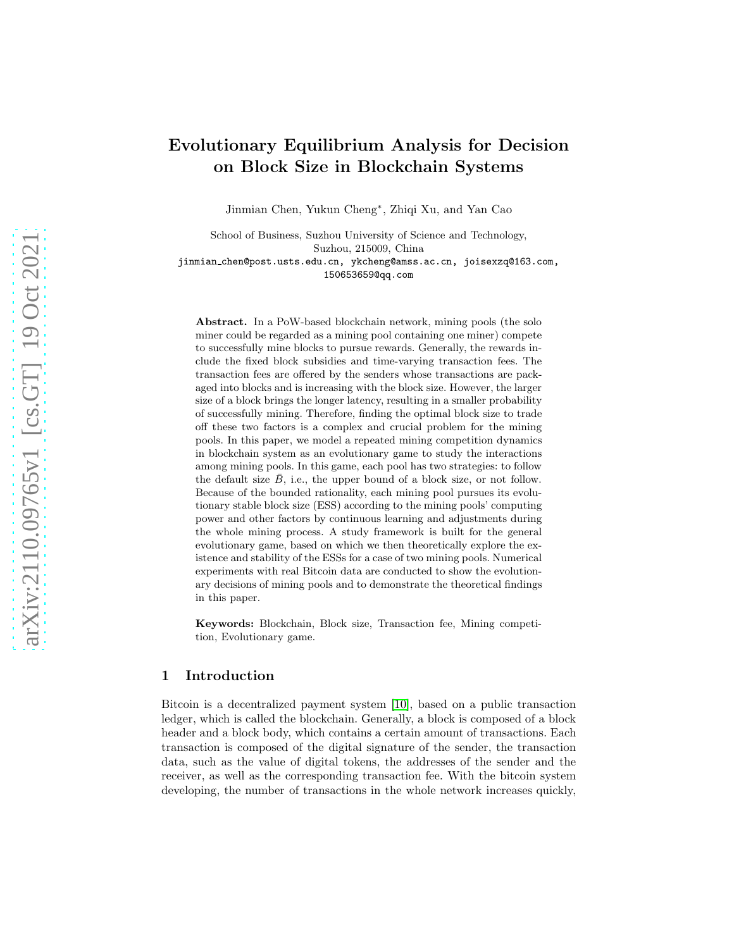# Evolutionary Equilibrium Analysis for Decision on Block Size in Blockchain Systems

Jinmian Chen, Yukun Cheng<sup>∗</sup> , Zhiqi Xu, and Yan Cao

School of Business, Suzhou University of Science and Technology, Suzhou, 215009, China jinmian chen@post.usts.edu.cn, ykcheng@amss.ac.cn, joisexzq@163.com, 150653659@qq.com

Abstract. In a PoW-based blockchain network, mining pools (the solo miner could be regarded as a mining pool containing one miner) compete to successfully mine blocks to pursue rewards. Generally, the rewards include the fixed block subsidies and time-varying transaction fees. The transaction fees are offered by the senders whose transactions are packaged into blocks and is increasing with the block size. However, the larger size of a block brings the longer latency, resulting in a smaller probability of successfully mining. Therefore, finding the optimal block size to trade off these two factors is a complex and crucial problem for the mining pools. In this paper, we model a repeated mining competition dynamics in blockchain system as an evolutionary game to study the interactions among mining pools. In this game, each pool has two strategies: to follow the default size  $\bar{B}$ , i.e., the upper bound of a block size, or not follow. Because of the bounded rationality, each mining pool pursues its evolutionary stable block size (ESS) according to the mining pools' computing power and other factors by continuous learning and adjustments during the whole mining process. A study framework is built for the general evolutionary game, based on which we then theoretically explore the existence and stability of the ESSs for a case of two mining pools. Numerical experiments with real Bitcoin data are conducted to show the evolutionary decisions of mining pools and to demonstrate the theoretical findings in this paper.

Keywords: Blockchain, Block size, Transaction fee, Mining competition, Evolutionary game.

## 1 Introduction

Bitcoin is a decentralized payment system [\[10\]](#page-14-0), based on a public transaction ledger, which is called the blockchain. Generally, a block is composed of a block header and a block body, which contains a certain amount of transactions. Each transaction is composed of the digital signature of the sender, the transaction data, such as the value of digital tokens, the addresses of the sender and the receiver, as well as the corresponding transaction fee. With the bitcoin system developing, the number of transactions in the whole network increases quickly,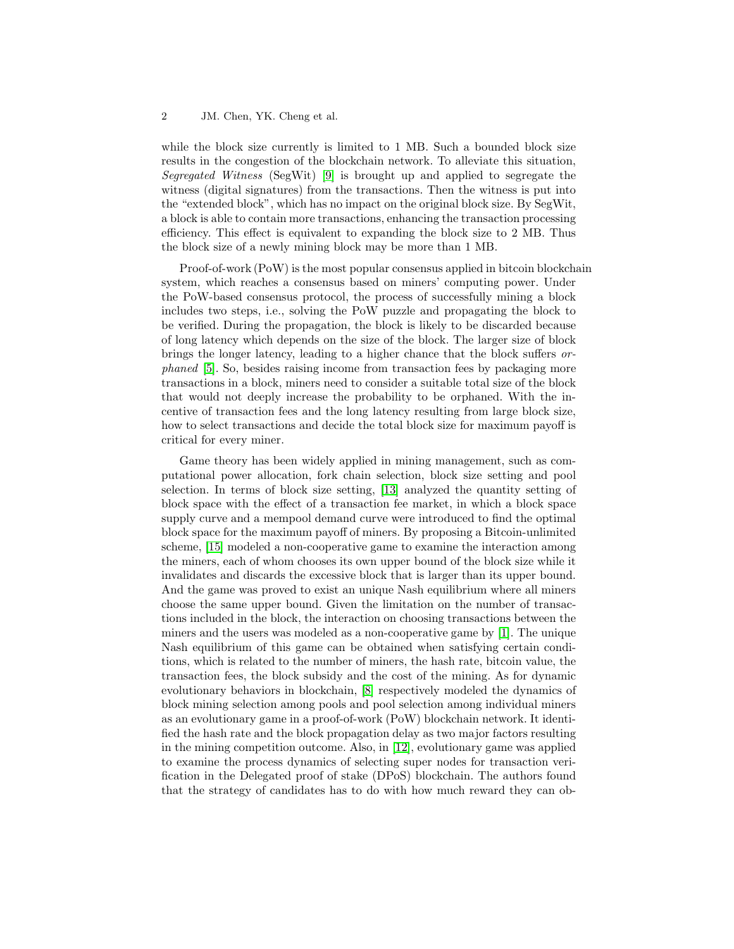while the block size currently is limited to 1 MB. Such a bounded block size results in the congestion of the blockchain network. To alleviate this situation, Segregated Witness (SegWit) [\[9\]](#page-14-1) is brought up and applied to segregate the witness (digital signatures) from the transactions. Then the witness is put into the "extended block", which has no impact on the original block size. By SegWit, a block is able to contain more transactions, enhancing the transaction processing efficiency. This effect is equivalent to expanding the block size to 2 MB. Thus the block size of a newly mining block may be more than 1 MB.

Proof-of-work (PoW) is the most popular consensus applied in bitcoin blockchain system, which reaches a consensus based on miners' computing power. Under the PoW-based consensus protocol, the process of successfully mining a block includes two steps, i.e., solving the PoW puzzle and propagating the block to be verified. During the propagation, the block is likely to be discarded because of long latency which depends on the size of the block. The larger size of block brings the longer latency, leading to a higher chance that the block suffers orphaned [\[5\]](#page-13-0). So, besides raising income from transaction fees by packaging more transactions in a block, miners need to consider a suitable total size of the block that would not deeply increase the probability to be orphaned. With the incentive of transaction fees and the long latency resulting from large block size, how to select transactions and decide the total block size for maximum payoff is critical for every miner.

Game theory has been widely applied in mining management, such as computational power allocation, fork chain selection, block size setting and pool selection. In terms of block size setting, [\[13\]](#page-14-2) analyzed the quantity setting of block space with the effect of a transaction fee market, in which a block space supply curve and a mempool demand curve were introduced to find the optimal block space for the maximum payoff of miners. By proposing a Bitcoin-unlimited scheme, [\[15\]](#page-14-3) modeled a non-cooperative game to examine the interaction among the miners, each of whom chooses its own upper bound of the block size while it invalidates and discards the excessive block that is larger than its upper bound. And the game was proved to exist an unique Nash equilibrium where all miners choose the same upper bound. Given the limitation on the number of transactions included in the block, the interaction on choosing transactions between the miners and the users was modeled as a non-cooperative game by [\[1\]](#page-13-1). The unique Nash equilibrium of this game can be obtained when satisfying certain conditions, which is related to the number of miners, the hash rate, bitcoin value, the transaction fees, the block subsidy and the cost of the mining. As for dynamic evolutionary behaviors in blockchain, [\[8\]](#page-14-4) respectively modeled the dynamics of block mining selection among pools and pool selection among individual miners as an evolutionary game in a proof-of-work (PoW) blockchain network. It identified the hash rate and the block propagation delay as two major factors resulting in the mining competition outcome. Also, in [\[12\]](#page-14-5), evolutionary game was applied to examine the process dynamics of selecting super nodes for transaction verification in the Delegated proof of stake (DPoS) blockchain. The authors found that the strategy of candidates has to do with how much reward they can ob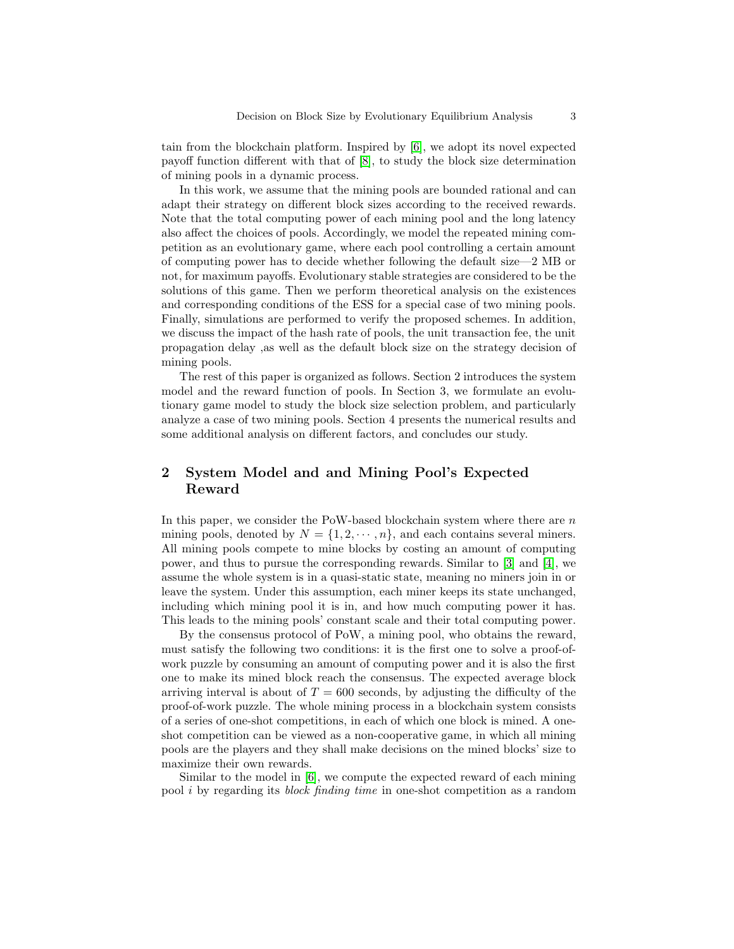tain from the blockchain platform. Inspired by [\[6\]](#page-14-6), we adopt its novel expected payoff function different with that of [\[8\]](#page-14-4), to study the block size determination of mining pools in a dynamic process.

In this work, we assume that the mining pools are bounded rational and can adapt their strategy on different block sizes according to the received rewards. Note that the total computing power of each mining pool and the long latency also affect the choices of pools. Accordingly, we model the repeated mining competition as an evolutionary game, where each pool controlling a certain amount of computing power has to decide whether following the default size—2 MB or not, for maximum payoffs. Evolutionary stable strategies are considered to be the solutions of this game. Then we perform theoretical analysis on the existences and corresponding conditions of the ESS for a special case of two mining pools. Finally, simulations are performed to verify the proposed schemes. In addition, we discuss the impact of the hash rate of pools, the unit transaction fee, the unit propagation delay ,as well as the default block size on the strategy decision of mining pools.

The rest of this paper is organized as follows. Section 2 introduces the system model and the reward function of pools. In Section 3, we formulate an evolutionary game model to study the block size selection problem, and particularly analyze a case of two mining pools. Section 4 presents the numerical results and some additional analysis on different factors, and concludes our study.

## 2 System Model and and Mining Pool's Expected Reward

In this paper, we consider the PoW-based blockchain system where there are  $n$ mining pools, denoted by  $N = \{1, 2, \dots, n\}$ , and each contains several miners. All mining pools compete to mine blocks by costing an amount of computing power, and thus to pursue the corresponding rewards. Similar to [\[3\]](#page-13-2) and [\[4\]](#page-13-3), we assume the whole system is in a quasi-static state, meaning no miners join in or leave the system. Under this assumption, each miner keeps its state unchanged, including which mining pool it is in, and how much computing power it has. This leads to the mining pools' constant scale and their total computing power.

By the consensus protocol of PoW, a mining pool, who obtains the reward, must satisfy the following two conditions: it is the first one to solve a proof-ofwork puzzle by consuming an amount of computing power and it is also the first one to make its mined block reach the consensus. The expected average block arriving interval is about of  $T = 600$  seconds, by adjusting the difficulty of the proof-of-work puzzle. The whole mining process in a blockchain system consists of a series of one-shot competitions, in each of which one block is mined. A oneshot competition can be viewed as a non-cooperative game, in which all mining pools are the players and they shall make decisions on the mined blocks' size to maximize their own rewards.

Similar to the model in [\[6\]](#page-14-6), we compute the expected reward of each mining pool i by regarding its block finding time in one-shot competition as a random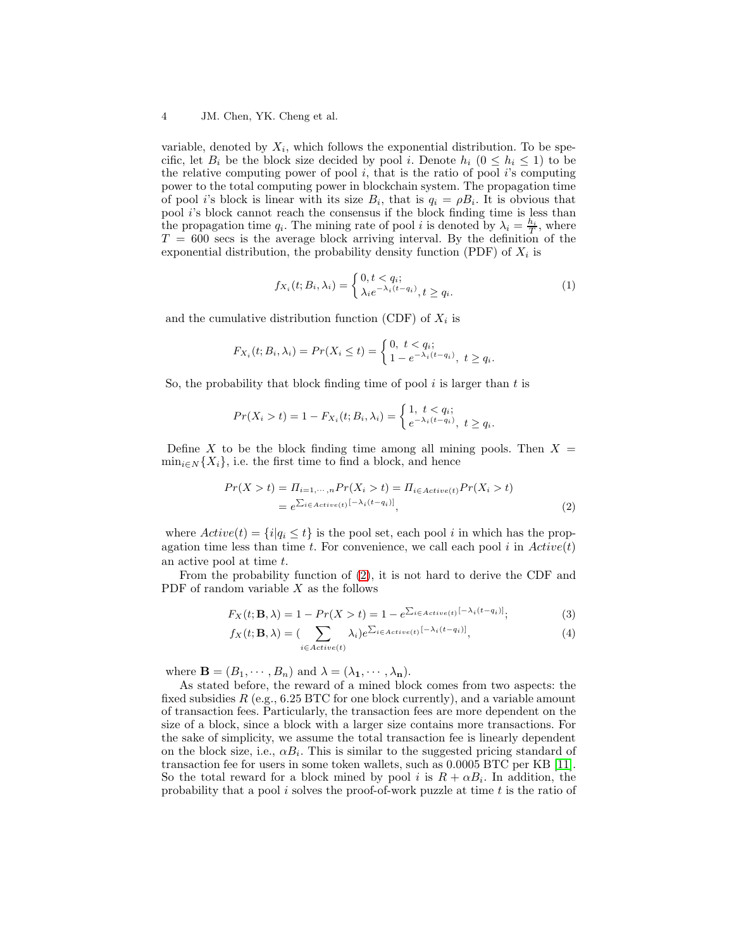variable, denoted by  $X_i$ , which follows the exponential distribution. To be specific, let  $B_i$  be the block size decided by pool i. Denote  $h_i$   $(0 \leq h_i \leq 1)$  to be the relative computing power of pool  $i$ , that is the ratio of pool  $i$ 's computing power to the total computing power in blockchain system. The propagation time of pool *i*'s block is linear with its size  $B_i$ , that is  $q_i = \rho B_i$ . It is obvious that pool *i*'s block cannot reach the consensus if the block finding time is less than the propagation time  $q_i$ . The mining rate of pool i is denoted by  $\lambda_i = \frac{h_i}{T}$ , where  $T = 600$  secs is the average block arriving interval. By the definition of the exponential distribution, the probability density function (PDF) of  $X_i$  is

$$
f_{X_i}(t; B_i, \lambda_i) = \begin{cases} 0, t < q_i; \\ \lambda_i e^{-\lambda_i(t - q_i)}, t \ge q_i. \end{cases} \tag{1}
$$

and the cumulative distribution function (CDF) of  $X_i$  is

$$
F_{X_i}(t; B_i, \lambda_i) = Pr(X_i \le t) = \begin{cases} 0, \ t < q_i; \\ 1 - e^{-\lambda_i(t - q_i)}, \ t \ge q_i. \end{cases}
$$

So, the probability that block finding time of pool  $i$  is larger than  $t$  is

$$
Pr(X_i > t) = 1 - F_{X_i}(t; B_i, \lambda_i) = \begin{cases} 1, & t < q_i; \\ e^{-\lambda_i(t - q_i)}, & t \ge q_i. \end{cases}
$$

Define X to be the block finding time among all mining pools. Then  $X =$  $\min_{i \in \mathbb{N}} \{X_i\}$ , i.e. the first time to find a block, and hence

<span id="page-3-0"></span>
$$
Pr(X > t) = \Pi_{i=1,\dots,n} Pr(X_i > t) = \Pi_{i \in Active(t)} Pr(X_i > t)
$$
  
=  $e^{\sum_{i \in Active(t)} [-\lambda_i(t - q_i)]}$ , (2)

where  $Active(t) = \{i | q_i \le t\}$  is the pool set, each pool i in which has the propagation time less than time t. For convenience, we call each pool i in  $Active(t)$ an active pool at time t.

From the probability function of [\(2\)](#page-3-0), it is not hard to derive the CDF and PDF of random variable  $X$  as the follows

$$
F_X(t; \mathbf{B}, \lambda) = 1 - Pr(X > t) = 1 - e^{\sum_{i \in Active(t)} [-\lambda_i(t - q_i)]};
$$
\n(3)

$$
f_X(t; \mathbf{B}, \lambda) = \left( \sum_{i \in Active(t)} \lambda_i \right) e^{\sum_{i \in Active(t)} \left[ -\lambda_i(t - q_i) \right]},\tag{4}
$$

where  $\mathbf{B} = (B_1, \dots, B_n)$  and  $\lambda = (\lambda_1, \dots, \lambda_n)$ .

As stated before, the reward of a mined block comes from two aspects: the fixed subsidies  $R$  (e.g., 6.25 BTC for one block currently), and a variable amount of transaction fees. Particularly, the transaction fees are more dependent on the size of a block, since a block with a larger size contains more transactions. For the sake of simplicity, we assume the total transaction fee is linearly dependent on the block size, i.e.,  $\alpha B_i$ . This is similar to the suggested pricing standard of transaction fee for users in some token wallets, such as 0.0005 BTC per KB [\[11\]](#page-14-7). So the total reward for a block mined by pool i is  $R + \alpha B_i$ . In addition, the probability that a pool  $i$  solves the proof-of-work puzzle at time  $t$  is the ratio of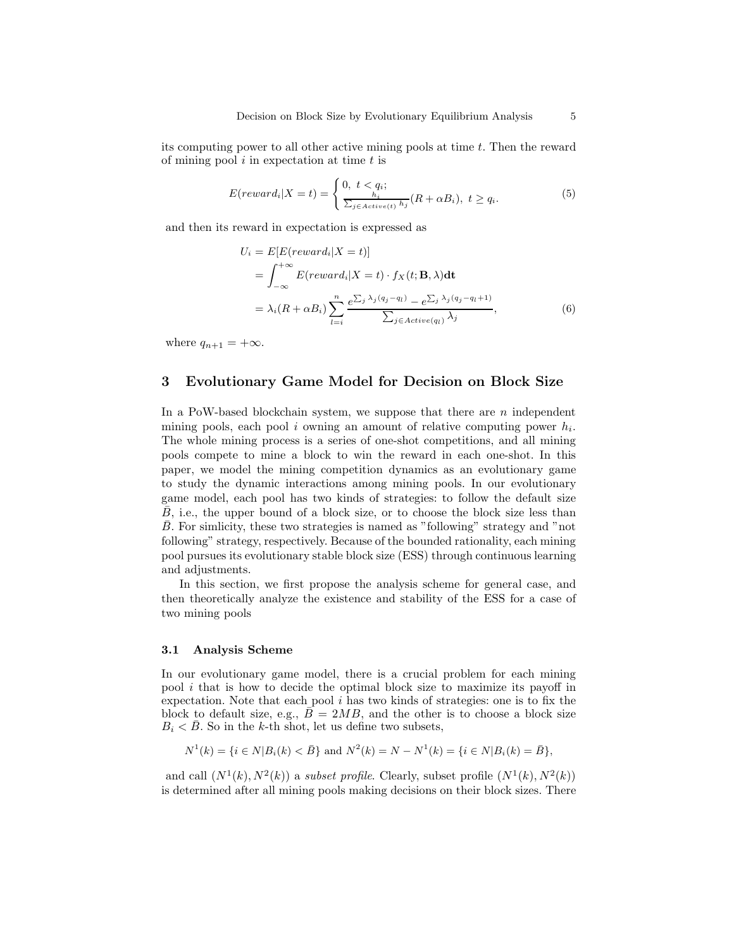its computing power to all other active mining pools at time  $t$ . Then the reward of mining pool  $i$  in expectation at time  $t$  is

$$
E(reward_i|X=t) = \begin{cases} 0, \ t < q_i; \\ \frac{h_i}{\sum_{j \in Active(t)} h_j}(R + \alpha B_i), \ t \ge q_i. \end{cases}
$$
 (5)

and then its reward in expectation is expressed as

$$
U_i = E[E(reward_i|X = t)]
$$
  
=  $\int_{-\infty}^{+\infty} E(reward_i|X = t) \cdot f_X(t; \mathbf{B}, \lambda)dt$   
=  $\lambda_i(R + \alpha B_i) \sum_{l=i}^{n} \frac{e^{\sum_j \lambda_j (q_j - q_l)} - e^{\sum_j \lambda_j (q_j - q_l + 1)}}{\sum_{j \in Active(q_l)} \lambda_j},$  (6)

where  $q_{n+1} = +\infty$ .

## 3 Evolutionary Game Model for Decision on Block Size

In a PoW-based blockchain system, we suppose that there are  $n$  independent mining pools, each pool i owning an amount of relative computing power  $h_i$ . The whole mining process is a series of one-shot competitions, and all mining pools compete to mine a block to win the reward in each one-shot. In this paper, we model the mining competition dynamics as an evolutionary game to study the dynamic interactions among mining pools. In our evolutionary game model, each pool has two kinds of strategies: to follow the default size  $\bar{B}$ , i.e., the upper bound of a block size, or to choose the block size less than B. For simlicity, these two strategies is named as "following" strategy and "not following" strategy, respectively. Because of the bounded rationality, each mining pool pursues its evolutionary stable block size (ESS) through continuous learning and adjustments.

In this section, we first propose the analysis scheme for general case, and then theoretically analyze the existence and stability of the ESS for a case of two mining pools

## 3.1 Analysis Scheme

In our evolutionary game model, there is a crucial problem for each mining pool i that is how to decide the optimal block size to maximize its payoff in expectation. Note that each pool  $i$  has two kinds of strategies: one is to fix the block to default size, e.g.,  $\bar{B} = 2MB$ , and the other is to choose a block size  $B_i < \overline{B}$ . So in the k-th shot, let us define two subsets,

$$
N^1(k) = \{i \in N | B_i(k) < \bar{B}\}
$$
 and  $N^2(k) = N - N^1(k) = \{i \in N | B_i(k) = \bar{B}\},$ 

and call  $(N^1(k), N^2(k))$  a subset profile. Clearly, subset profile  $(N^1(k), N^2(k))$ is determined after all mining pools making decisions on their block sizes. There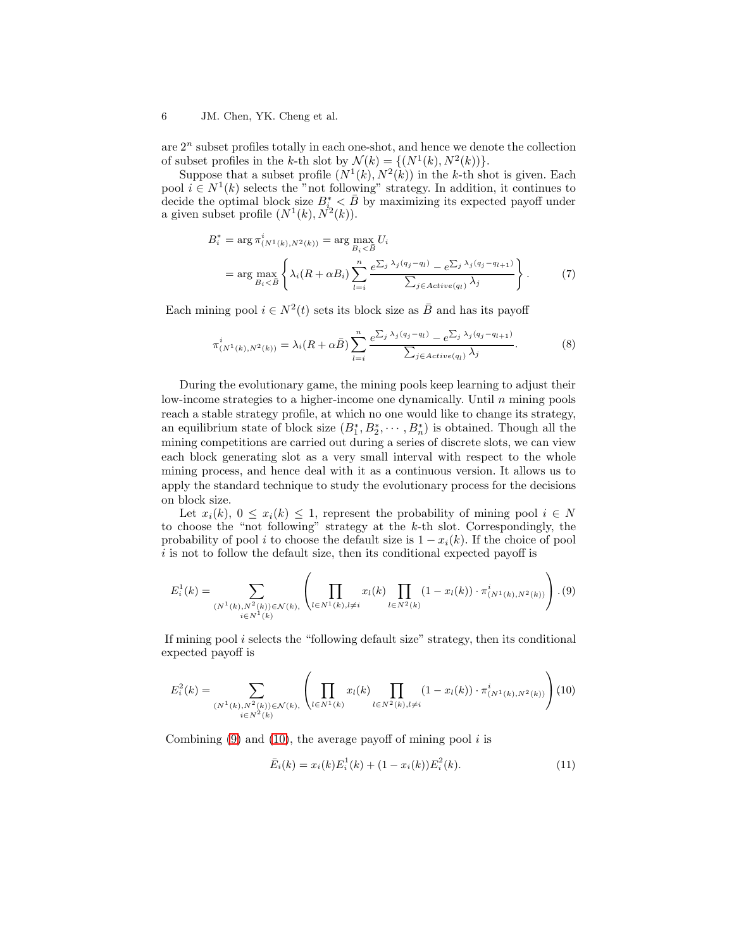are  $2^n$  subset profiles totally in each one-shot, and hence we denote the collection of subset profiles in the k-th slot by  $\mathcal{N}(k) = \{(N^1(k), N^2(k))\}.$ 

Suppose that a subset profile  $(N^1(k), N^2(k))$  in the k-th shot is given. Each pool  $i \in N^1(k)$  selects the "not following" strategy. In addition, it continues to decide the optimal block size  $B_i^* < \bar{B}$  by maximizing its expected payoff under a given subset profile  $(N^1(k), N^2(k)).$ 

$$
B_i^* = \arg \pi_{(N^1(k), N^2(k))}^i = \arg \max_{B_i < \bar{B}} U_i
$$
\n
$$
= \arg \max_{B_i < \bar{B}} \left\{ \lambda_i (R + \alpha B_i) \sum_{l=i}^n \frac{e^{\sum_j \lambda_j (q_j - q_l)} - e^{\sum_j \lambda_j (q_j - q_{l+1})}}{\sum_{j \in Active(q_l)} \lambda_j} \right\}.
$$
\n(7)

Each mining pool  $i \in N^2(t)$  sets its block size as  $\overline{B}$  and has its payoff

$$
\pi^i_{(N^1(k),N^2(k))} = \lambda_i (R + \alpha \bar{B}) \sum_{l=i}^n \frac{e^{\sum_j \lambda_j (q_j - q_l)} - e^{\sum_j \lambda_j (q_j - q_{l+1})}}{\sum_{j \in Active(q_l)} \lambda_j}.
$$
\n(8)

During the evolutionary game, the mining pools keep learning to adjust their low-income strategies to a higher-income one dynamically. Until  $n$  mining pools reach a stable strategy profile, at which no one would like to change its strategy, an equilibrium state of block size  $(B_1^*, B_2^*, \cdots, B_n^*)$  is obtained. Though all the mining competitions are carried out during a series of discrete slots, we can view each block generating slot as a very small interval with respect to the whole mining process, and hence deal with it as a continuous version. It allows us to apply the standard technique to study the evolutionary process for the decisions on block size.

Let  $x_i(k)$ ,  $0 \le x_i(k) \le 1$ , represent the probability of mining pool  $i \in N$ to choose the "not following" strategy at the  $k$ -th slot. Correspondingly, the probability of pool i to choose the default size is  $1 - x_i(k)$ . If the choice of pool  $i$  is not to follow the default size, then its conditional expected payoff is

<span id="page-5-0"></span>
$$
E_i^1(k) = \sum_{\substack{(N^1(k), N^2(k)) \in \mathcal{N}(k), \\ i \in N^1(k)}} \left( \prod_{l \in N^1(k), l \neq i} x_l(k) \prod_{l \in N^2(k)} (1 - x_l(k)) \cdot \pi_{(N^1(k), N^2(k))}^i \right). (9)
$$

If mining pool i selects the "following default size" strategy, then its conditional expected payoff is

<span id="page-5-1"></span>
$$
E_i^2(k) = \sum_{\substack{(N^1(k), N^2(k)) \in \mathcal{N}(k), \\ i \in N^2(k)}} \left( \prod_{l \in N^1(k)} x_l(k) \prod_{l \in N^2(k), l \neq i} (1 - x_l(k)) \cdot \pi_{(N^1(k), N^2(k))}^i \right) (10)
$$

Combining  $(9)$  and  $(10)$ , the average payoff of mining pool i is

$$
\bar{E}_i(k) = x_i(k)E_i^1(k) + (1 - x_i(k))E_i^2(k).
$$
\n(11)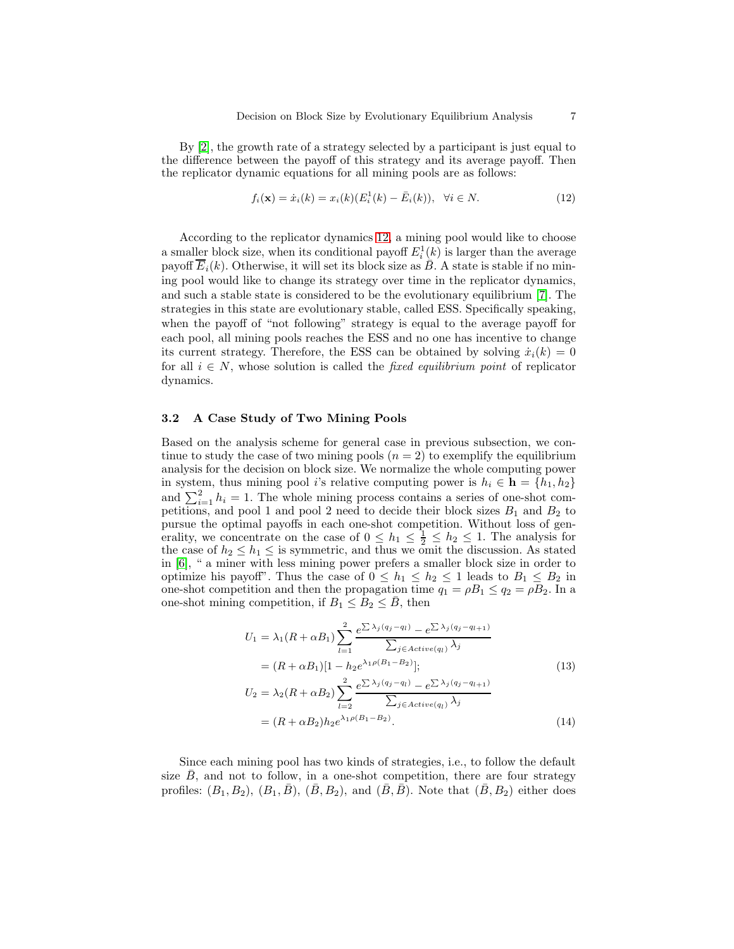By [\[2\]](#page-13-4), the growth rate of a strategy selected by a participant is just equal to the difference between the payoff of this strategy and its average payoff. Then the replicator dynamic equations for all mining pools are as follows:

<span id="page-6-0"></span>
$$
f_i(\mathbf{x}) = \dot{x}_i(k) = x_i(k)(E_i^1(k) - \bar{E}_i(k)), \ \ \forall i \in N. \tag{12}
$$

According to the replicator dynamics [12,](#page-6-0) a mining pool would like to choose a smaller block size, when its conditional payoff  $E_i^1(k)$  is larger than the average payoff  $\overline{E}_i(k)$ . Otherwise, it will set its block size as  $\overline{B}$ . A state is stable if no mining pool would like to change its strategy over time in the replicator dynamics, and such a stable state is considered to be the evolutionary equilibrium [\[7\]](#page-14-8). The strategies in this state are evolutionary stable, called ESS. Specifically speaking, when the payoff of "not following" strategy is equal to the average payoff for each pool, all mining pools reaches the ESS and no one has incentive to change its current strategy. Therefore, the ESS can be obtained by solving  $\dot{x}_i(k) = 0$ for all  $i \in N$ , whose solution is called the *fixed equilibrium point* of replicator dynamics.

## 3.2 A Case Study of Two Mining Pools

Based on the analysis scheme for general case in previous subsection, we continue to study the case of two mining pools  $(n = 2)$  to exemplify the equilibrium analysis for the decision on block size. We normalize the whole computing power in system, thus mining pool i's relative computing power is  $h_i \in \mathbf{h} = \{h_1, h_2\}$ and  $\sum_{i=1}^{2} h_i = 1$ . The whole mining process contains a series of one-shot competitions, and pool 1 and pool 2 need to decide their block sizes  $B_1$  and  $B_2$  to pursue the optimal payoffs in each one-shot competition. Without loss of generality, we concentrate on the case of  $0 \leq h_1 \leq \frac{1}{2} \leq h_2 \leq 1$ . The analysis for the case of  $h_2 \leq h_1 \leq$  is symmetric, and thus we omit the discussion. As stated in [\[6\]](#page-14-6), " a miner with less mining power prefers a smaller block size in order to optimize his payoff". Thus the case of  $0 \leq h_1 \leq h_2 \leq 1$  leads to  $B_1 \leq B_2$  in one-shot competition and then the propagation time  $q_1 = \rho B_1 \leq q_2 = \rho B_2$ . In a one-shot mining competition, if  $B_1 \leq B_2 \leq B$ , then

$$
U_{1} = \lambda_{1}(R + \alpha B_{1}) \sum_{l=1}^{2} \frac{e^{\sum \lambda_{j}(q_{j} - q_{l})} - e^{\sum \lambda_{j}(q_{j} - q_{l+1})}}{\sum_{j \in Active(q_{l})} \lambda_{j}}
$$
  
=  $(R + \alpha B_{1})[1 - h_{2}e^{\lambda_{1}\rho(B_{1} - B_{2})}];$   

$$
U_{2} = \lambda_{2}(R + \alpha B_{2}) \sum_{l=2}^{2} \frac{e^{\sum \lambda_{j}(q_{j} - q_{l})} - e^{\sum \lambda_{j}(q_{j} - q_{l+1})}}{\sum_{j \in Active(q_{l})} \lambda_{j}}
$$
  
=  $(R + \alpha B_{2})h_{2}e^{\lambda_{1}\rho(B_{1} - B_{2})}.$  (14)

Since each mining pool has two kinds of strategies, i.e., to follow the default size  $\overline{B}$ , and not to follow, in a one-shot competition, there are four strategy profiles:  $(B_1, B_2), (B_1, \bar{B}), (\bar{B}, B_2), \text{ and } (\bar{B}, \bar{B}).$  Note that  $(\bar{B}, B_2)$  either does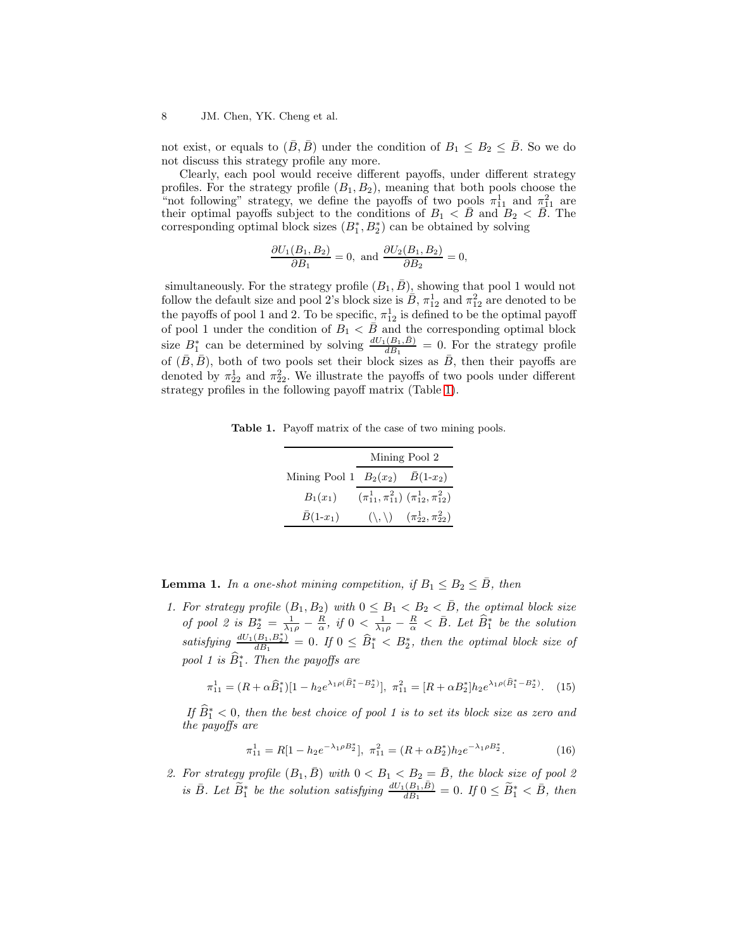not exist, or equals to  $(\bar{B}, \bar{B})$  under the condition of  $B_1 \leq B_2 \leq \bar{B}$ . So we do not discuss this strategy profile any more.

Clearly, each pool would receive different payoffs, under different strategy profiles. For the strategy profile  $(B_1, B_2)$ , meaning that both pools choose the "not following" strategy, we define the payoffs of two pools  $\pi_{11}^1$  and  $\pi_{11}^2$  are their optimal payoffs subject to the conditions of  $B_1 < \overline{B}$  and  $B_2 < \overline{B}$ . The corresponding optimal block sizes  $(B_1^*, B_2^*)$  can be obtained by solving

$$
\frac{\partial U_1(B_1, B_2)}{\partial B_1} = 0, \text{ and } \frac{\partial U_2(B_1, B_2)}{\partial B_2} = 0,
$$

simultaneously. For the strategy profile  $(B_1, B)$ , showing that pool 1 would not follow the default size and pool 2's block size is  $\overline{B}$ ,  $\pi_{12}^1$  and  $\pi_{12}^2$  are denoted to be the payoffs of pool 1 and 2. To be specific,  $\pi_{12}^1$  is defined to be the optimal payoff of pool 1 under the condition of  $B_1 \leq \overline{B}$  and the corresponding optimal block size  $B_1^*$  can be determined by solving  $\frac{dU_1(B_1,\bar{B})}{dB_1}=0$ . For the strategy profile of  $(\bar{B}, \bar{B})$ , both of two pools set their block sizes as  $\bar{B}$ , then their payoffs are denoted by  $\pi_{22}^1$  and  $\pi_{22}^2$ . We illustrate the payoffs of two pools under different strategy profiles in the following payoff matrix (Table [1\)](#page-7-0).

Table 1. Payoff matrix of the case of two mining pools.

<span id="page-7-0"></span>

|                                                                  | Mining Pool 2 |                                                         |
|------------------------------------------------------------------|---------------|---------------------------------------------------------|
| Mining Pool 1 $B_2(x_2)$ $\bar{B}(1-x_2)$                        |               |                                                         |
| $B_1(x_1)$ $(\pi_{11}^1, \pi_{11}^2)$ $(\pi_{12}^1, \pi_{12}^2)$ |               |                                                         |
| $\bar{B}(1-x_1)$                                                 |               | $(\setminus, \setminus) \quad (\pi_{22}^1, \pi_{22}^2)$ |

<span id="page-7-1"></span>**Lemma 1.** In a one-shot mining competition, if  $B_1 \leq B_2 \leq \overline{B}$ , then

1. For strategy profile  $(B_1, B_2)$  with  $0 \leq B_1 < B_2 < \overline{B}$ , the optimal block size of pool 2 is  $B_2^* = \frac{1}{\lambda_1 \rho} - \frac{R}{\alpha}$ , if  $0 < \frac{1}{\lambda_1 \rho} - \frac{R}{\alpha} < \overline{B}$ . Let  $\widehat{B}_1^*$  be the solution satisfying  $\frac{dU_1(B_1,B_2^*)}{dB_1}$  $\frac{(B_1,B_2^*)}{d_{B_1}}=0.$  If  $0\leq \widehat{B}_1^*< B_2^*$ , then the optimal block size of pool 1 is  $\widehat{B}^*_1$ . Then the payoffs are

<span id="page-7-2"></span>
$$
\pi_{11}^1 = (R + \alpha \hat{B}_1^*)[1 - h_2 e^{\lambda_1 \rho (\hat{B}_1^* - B_2^*)}], \ \pi_{11}^2 = [R + \alpha B_2^*]h_2 e^{\lambda_1 \rho (\hat{B}_1^* - B_2^*)}. \tag{15}
$$

If  $\widehat{B}_1^* < 0$ , then the best choice of pool 1 is to set its block size as zero and the payoffs are

$$
\pi_{11}^1 = R[1 - h_2 e^{-\lambda_1 \rho B_2^*}], \ \pi_{11}^2 = (R + \alpha B_2^*) h_2 e^{-\lambda_1 \rho B_2^*}. \tag{16}
$$

2. For strategy profile  $(B_1, \overline{B})$  with  $0 < B_1 < B_2 = \overline{B}$ , the block size of pool 2 is  $\bar{B}$ . Let  $\widetilde{B}^*_1$  be the solution satisfying  $\frac{dU_1(B_1,\bar{B})}{dB_1}=0$ . If  $0 \leq \widetilde{B}^*_1 < \bar{B}$ , then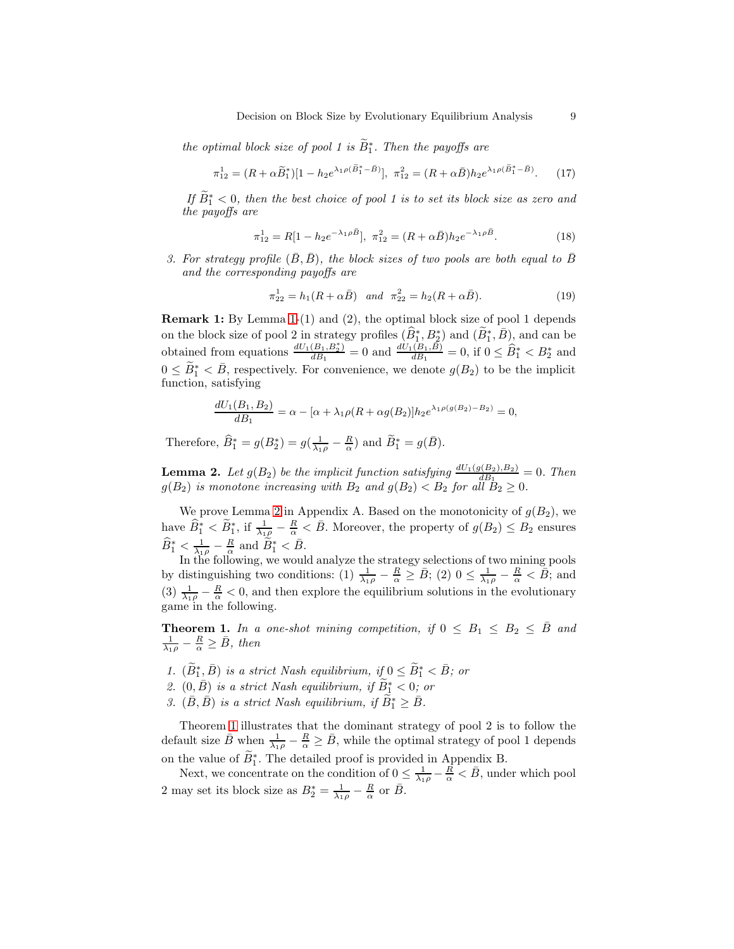the optimal block size of pool 1 is  $\widetilde{B}^{*}_{1}$ . Then the payoffs are

$$
\pi_{12}^1 = (R + \alpha \tilde{B}_1^*)[1 - h_2 e^{\lambda_1 \rho (\tilde{B}_1^* - \bar{B})}], \ \pi_{12}^2 = (R + \alpha \bar{B})h_2 e^{\lambda_1 \rho (\tilde{B}_1^* - \bar{B})}. \tag{17}
$$

If  $\widetilde{B}_1^* < 0$ , then the best choice of pool 1 is to set its block size as zero and the payoffs are

$$
\pi_{12}^1 = R[1 - h_2 e^{-\lambda_1 \rho \bar{B}}], \ \pi_{12}^2 = (R + \alpha \bar{B})h_2 e^{-\lambda_1 \rho \bar{B}}.
$$
 (18)

3. For strategy profile  $(\bar{B}, \bar{B})$ , the block sizes of two pools are both equal to  $\bar{B}$ and the corresponding payoffs are

<span id="page-8-2"></span>
$$
\pi_{22}^1 = h_1(R + \alpha \bar{B}) \quad \text{and} \quad \pi_{22}^2 = h_2(R + \alpha \bar{B}). \tag{19}
$$

Remark 1: By Lemma [1-](#page-7-1)(1) and (2), the optimal block size of pool 1 depends on the block size of pool 2 in strategy profiles  $(\widehat{B}_1^*, B_2^*)$  and  $(\widetilde{B}_1^*, \overline{B})$ , and can be obtained from equations  $\frac{dU_1(B_1,B_2^*)}{dR_1}$  $\frac{(B_1, B_2^*)}{dB_1} = 0$  and  $\frac{dU_1(B_1, \bar{B})}{dB_1} = 0$ , if  $0 \leq \hat{B}_1^* < B_2^*$  and  $0 \leq \widetilde{B}_1^* < \overline{B}$ , respectively. For convenience, we denote  $g(B_2)$  to be the implicit function, satisfying

$$
\frac{dU_1(B_1, B_2)}{dB_1} = \alpha - [\alpha + \lambda_1 \rho (R + \alpha g(B_2)] h_2 e^{\lambda_1 \rho(g(B_2) - B_2)} = 0,
$$

<span id="page-8-0"></span>Therefore,  $\widehat{B}_1^* = g(B_2^*) = g(\frac{1}{\lambda_1 \rho} - \frac{R}{\alpha})$  and  $\widetilde{B}_1^* = g(\overline{B})$ .

**Lemma 2.** Let  $g(B_2)$  be the implicit function satisfying  $\frac{dU_1(g(B_2),B_2)}{dB_1} = 0$ . Then  $g(B_2)$  is monotone increasing with  $B_2$  and  $g(B_2) < B_2$  for all  $B_2 \geq 0$ .

We prove Lemma [2](#page-8-0) in Appendix A. Based on the monotonicity of  $g(B_2)$ , we have  $\widehat{B}_1^* < \widetilde{B}_1^*$ , if  $\frac{1}{\lambda_1 \rho} - \frac{R}{\alpha} < \overline{B}$ . Moreover, the property of  $g(B_2) \le B_2$  ensures  $\widehat{B}_{1}^{*} < \frac{1}{\lambda_{1}\rho} - \frac{R}{\alpha}$  and  $\widetilde{B}_{1}^{*} < \bar{B}$ .

In the following, we would analyze the strategy selections of two mining pools by distinguishing two conditions: (1)  $\frac{1}{\lambda_1 \rho} - \frac{R}{\alpha} \geq \overline{B}$ ; (2)  $0 \leq \frac{1}{\lambda_1 \rho} - \frac{R}{\alpha} < \overline{B}$ ; and (3)  $\frac{1}{\lambda_1 \rho} - \frac{R}{\alpha} < 0$ , and then explore the equilibrium solutions in the evolutionary game in the following.

<span id="page-8-1"></span>**Theorem 1.** In a one-shot mining competition, if  $0 \leq B_1 \leq B_2 \leq \bar{B}$  and  $\frac{1}{\lambda_1 \rho} - \frac{R}{\alpha} \geq \bar{B}$ , then

- 1.  $(\widetilde{B}_{1}^{*}, \overline{B})$  is a strict Nash equilibrium, if  $0 \leq \widetilde{B}_{1}^{*} < \overline{B}$ ; or
- 2.  $(0,\bar{B})$  is a strict Nash equilibrium, if  $\widetilde{B}_{1}^{*} < 0$ ; or
- 3.  $(\bar{B}, \bar{B})$  is a strict Nash equilibrium, if  $\widetilde{B}_1^* \geq \bar{B}$ .

Theorem [1](#page-8-1) illustrates that the dominant strategy of pool 2 is to follow the default size  $\bar{B}$  when  $\frac{1}{\lambda_1 \rho} - \frac{R}{\alpha} \geq \bar{B}$ , while the optimal strategy of pool 1 depends on the value of  $\widetilde{B}_1^*$ . The detailed proof is provided in Appendix B.

Next, we concentrate on the condition of  $0 \leq \frac{1}{\lambda_1 \rho} - \frac{R}{\alpha} < \bar{B}$ , under which pool 2 may set its block size as  $B_2^* = \frac{1}{\lambda_1 \rho} - \frac{R}{\alpha}$  or  $\overline{B}$ .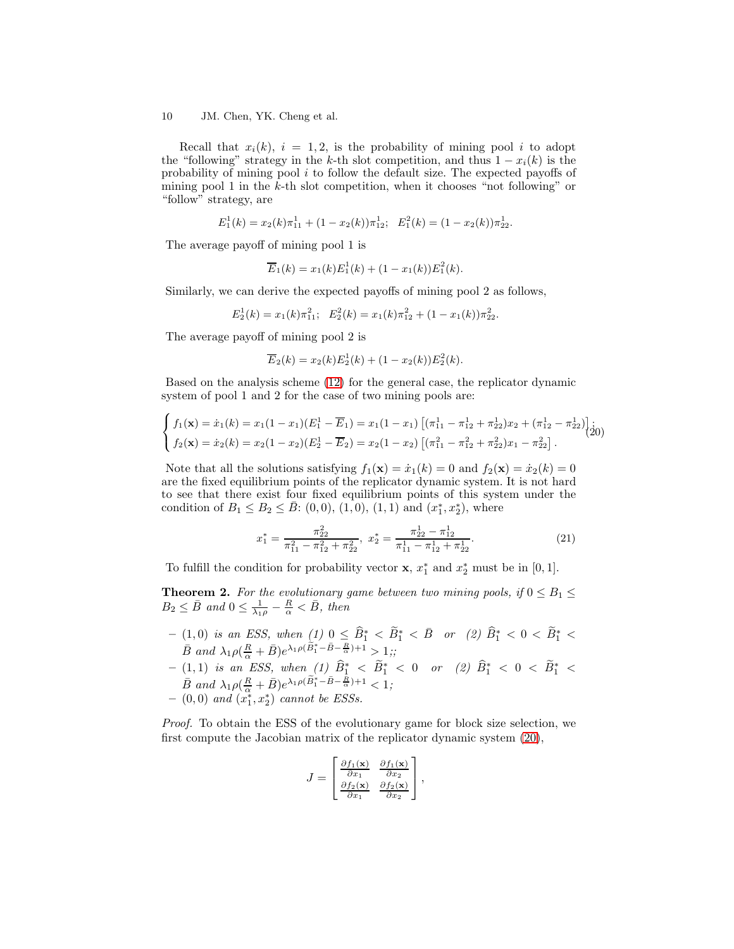Recall that  $x_i(k)$ ,  $i = 1, 2$ , is the probability of mining pool i to adopt the "following" strategy in the k-th slot competition, and thus  $1 - x_i(k)$  is the probability of mining pool  $i$  to follow the default size. The expected payoffs of mining pool 1 in the  $k$ -th slot competition, when it chooses "not following" or "follow" strategy, are

$$
E_1^1(k) = x_2(k)\pi_{11}^1 + (1 - x_2(k))\pi_{12}^1; \quad E_1^2(k) = (1 - x_2(k))\pi_{22}^1.
$$

The average payoff of mining pool 1 is

$$
\overline{E}_1(k) = x_1(k)E_1^1(k) + (1 - x_1(k))E_1^2(k).
$$

Similarly, we can derive the expected payoffs of mining pool 2 as follows,

$$
E_2^1(k) = x_1(k)\pi_{11}^2; \quad E_2^2(k) = x_1(k)\pi_{12}^2 + (1 - x_1(k))\pi_{22}^2.
$$

The average payoff of mining pool 2 is

$$
\overline{E}_2(k) = x_2(k)E_2^1(k) + (1 - x_2(k))E_2^2(k).
$$

Based on the analysis scheme [\(12\)](#page-6-0) for the general case, the replicator dynamic system of pool 1 and 2 for the case of two mining pools are:

<span id="page-9-0"></span>
$$
\begin{cases}\nf_1(\mathbf{x}) = \dot{x}_1(k) = x_1(1-x_1)(E_1^1 - \overline{E}_1) = x_1(1-x_1)\left[(\pi_{11}^1 - \pi_{12}^1 + \pi_{22}^1)x_2 + (\pi_{12}^1 - \pi_{22}^1)\right] \dot{x}_1 \\
f_2(\mathbf{x}) = \dot{x}_2(k) = x_2(1-x_2)(E_2^1 - \overline{E}_2) = x_2(1-x_2)\left[(\pi_{11}^2 - \pi_{12}^2 + \pi_{22}^2)x_1 - \pi_{22}^2\right].\n\end{cases}
$$

Note that all the solutions satisfying  $f_1(\mathbf{x}) = \dot{x}_1(k) = 0$  and  $f_2(\mathbf{x}) = \dot{x}_2(k) = 0$ are the fixed equilibrium points of the replicator dynamic system. It is not hard to see that there exist four fixed equilibrium points of this system under the condition of  $B_1 \le B_2 \le \bar{B}$ : (0,0), (1,0), (1,1) and  $(x_1^*, x_2^*)$ , where

$$
x_1^* = \frac{\pi_{22}^2}{\pi_{11}^2 - \pi_{12}^2 + \pi_{22}^2}, \ x_2^* = \frac{\pi_{22}^1 - \pi_{12}^1}{\pi_{11}^1 - \pi_{12}^1 + \pi_{22}^1}.
$$
 (21)

<span id="page-9-1"></span>To fulfill the condition for probability vector **x**,  $x_1^*$  and  $x_2^*$  must be in [0, 1].

**Theorem 2.** For the evolutionary game between two mining pools, if  $0 \leq B_1 \leq$  $B_2 \leq \bar{B}$  and  $0 \leq \frac{1}{\lambda_1 \rho} - \frac{R}{\alpha} < \bar{B}$ , then

- $-$  (1,0) is an ESS, when  $(1)$  0 ≤  $\widehat{B}_1^* < \widetilde{B}_1^* < \bar{B}$  or  $(2)$   $\widehat{B}_1^* < 0 < \widetilde{B}_1^* <$  $\bar{B}$  and  $\lambda_1 \rho \left( \frac{R}{\alpha} + \bar{B} \right) e^{\lambda_1 \rho \left( \tilde{B}_1^* - \bar{B} - \frac{R}{\alpha} \right) + 1} > 1;$
- $-$  (1,1) is an ESS, when (1)  $\widehat{B}_1^* < \widetilde{B}_1^* < 0$  or (2)  $\widehat{B}_1^* < 0 < \widetilde{B}_1^* < 0$  $\bar{B}$  and  $\lambda_1 \rho \left( \frac{R}{\alpha} + \bar{B} \right) e^{\lambda_1 \rho \left( \tilde{B}_1^* - \bar{B} - \frac{R}{\alpha} \right) + 1} < 1;$  $-$  (0,0) and  $(x_1^*, x_2^*)$  cannot be ESSs.

Proof. To obtain the ESS of the evolutionary game for block size selection, we first compute the Jacobian matrix of the replicator dynamic system [\(20\)](#page-9-0),

$$
J = \begin{bmatrix} \frac{\partial f_1(\mathbf{x})}{\partial x_1} & \frac{\partial f_1(\mathbf{x})}{\partial x_2} \\ \frac{\partial f_2(\mathbf{x})}{\partial x_1} & \frac{\partial f_2(\mathbf{x})}{\partial x_2} \end{bmatrix},
$$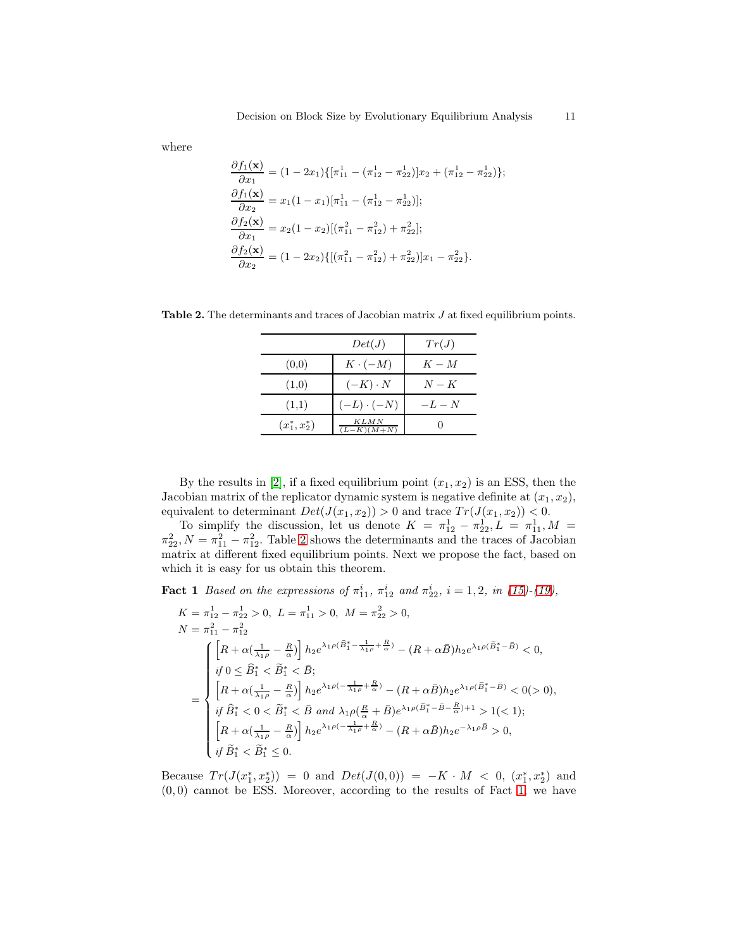where

$$
\frac{\partial f_1(\mathbf{x})}{\partial x_1} = (1 - 2x_1)\{[\pi_{11}^1 - (\pi_{12}^1 - \pi_{22}^1)]x_2 + (\pi_{12}^1 - \pi_{22}^1)\};
$$
\n
$$
\frac{\partial f_1(\mathbf{x})}{\partial x_2} = x_1(1 - x_1)[\pi_{11}^1 - (\pi_{12}^1 - \pi_{22}^1)];
$$
\n
$$
\frac{\partial f_2(\mathbf{x})}{\partial x_1} = x_2(1 - x_2)[(\pi_{11}^2 - \pi_{12}^2) + \pi_{22}^2];
$$
\n
$$
\frac{\partial f_2(\mathbf{x})}{\partial x_2} = (1 - 2x_2)\{[(\pi_{11}^2 - \pi_{12}^2) + \pi_{22}^2\}]x_1 - \pi_{22}^2\}.
$$

Table 2. The determinants and traces of Jacobian matrix  $J$  at fixed equilibrium points.

<span id="page-10-0"></span>

|                  | Det(J)                      | Tr(J)   |
|------------------|-----------------------------|---------|
| (0,0)            | $K \cdot (-M)$              | $K - M$ |
| (1,0)            | $(-K) \cdot N$              | $N-K$   |
| (1,1)            | $(-L) \cdot (-N)$           | $-L-N$  |
| $(x_1^*, x_2^*)$ | <i>KLMN</i><br>$(L-K)(M+N)$ |         |

By the results in [\[2\]](#page-13-4), if a fixed equilibrium point  $(x_1, x_2)$  is an ESS, then the Jacobian matrix of the replicator dynamic system is negative definite at  $(x_1, x_2)$ , equivalent to determinant  $Det(J(x_1, x_2)) > 0$  and trace  $Tr(J(x_1, x_2)) < 0$ .

To simplify the discussion, let us denote  $K = \pi_{12}^1 - \pi_{22}^1, L = \pi_{11}^1, M =$  $\pi_{22}^2$ ,  $N = \pi_{11}^2 - \pi_{12}^2$ . Table [2](#page-10-0) shows the determinants and the traces of Jacobian matrix at different fixed equilibrium points. Next we propose the fact, based on which it is easy for us obtain this theorem.

<span id="page-10-1"></span>**Fact 1** Based on the expressions of  $\pi_{11}^i$ ,  $\pi_{12}^i$  and  $\pi_{22}^i$ ,  $i = 1, 2$ , in [\(15\)](#page-7-2)-[\(19\)](#page-8-2),

$$
K = \pi_{12}^{1} - \pi_{22}^{1} > 0, \ L = \pi_{11}^{1} > 0, \ M = \pi_{22}^{2} > 0,
$$
  
\n
$$
N = \pi_{11}^{2} - \pi_{12}^{2}
$$
  
\n
$$
\begin{aligned}\n&\left[ R + \alpha \left( \frac{1}{\lambda_{1\rho}} - \frac{R}{\alpha} \right) \right] h_{2} e^{\lambda_{1}\rho(\hat{B}_{1}^{*} - \frac{1}{\lambda_{1}\rho} + \frac{R}{\alpha})} - (R + \alpha \bar{B}) h_{2} e^{\lambda_{1}\rho(\tilde{B}_{1}^{*} - \bar{B})} < 0, \\
&\text{if } 0 \leq \hat{B}_{1}^{*} < \tilde{B}_{1}^{*} < \bar{B}; \\
&\left[ R + \alpha \left( \frac{1}{\lambda_{1}\rho} - \frac{R}{\alpha} \right) \right] h_{2} e^{\lambda_{1}\rho(-\frac{1}{\lambda_{1}\rho} + \frac{R}{\alpha})} - (R + \alpha \bar{B}) h_{2} e^{\lambda_{1}\rho(\tilde{B}_{1}^{*} - \bar{B})} < 0(>0), \\
&\text{if } \hat{B}_{1}^{*} < 0 < \tilde{B}_{1}^{*} < \bar{B} \text{ and } \lambda_{1}\rho(\frac{R}{\alpha} + \bar{B}) e^{\lambda_{1}\rho(\tilde{B}_{1}^{*} - \bar{B} - \frac{R}{\alpha}) + 1} > 1(< 1); \\
&\left[ R + \alpha \left( \frac{1}{\lambda_{1}\rho} - \frac{R}{\alpha} \right) \right] h_{2} e^{\lambda_{1}\rho(-\frac{1}{\lambda_{1}\rho} + \frac{R}{\alpha})} - (R + \alpha \bar{B}) h_{2} e^{-\lambda_{1}\rho\bar{B}} > 0, \\
&\text{if } \tilde{B}_{1}^{*} < \tilde{B}_{1}^{*} \leq 0.\n\end{aligned}
$$

Because  $Tr(J(x_1^*, x_2^*)) = 0$  and  $Det(J(0,0)) = -K \cdot M < 0$ ,  $(x_1^*, x_2^*)$  and  $(0, 0)$  cannot be ESS. Moreover, according to the results of Fact [1,](#page-10-1) we have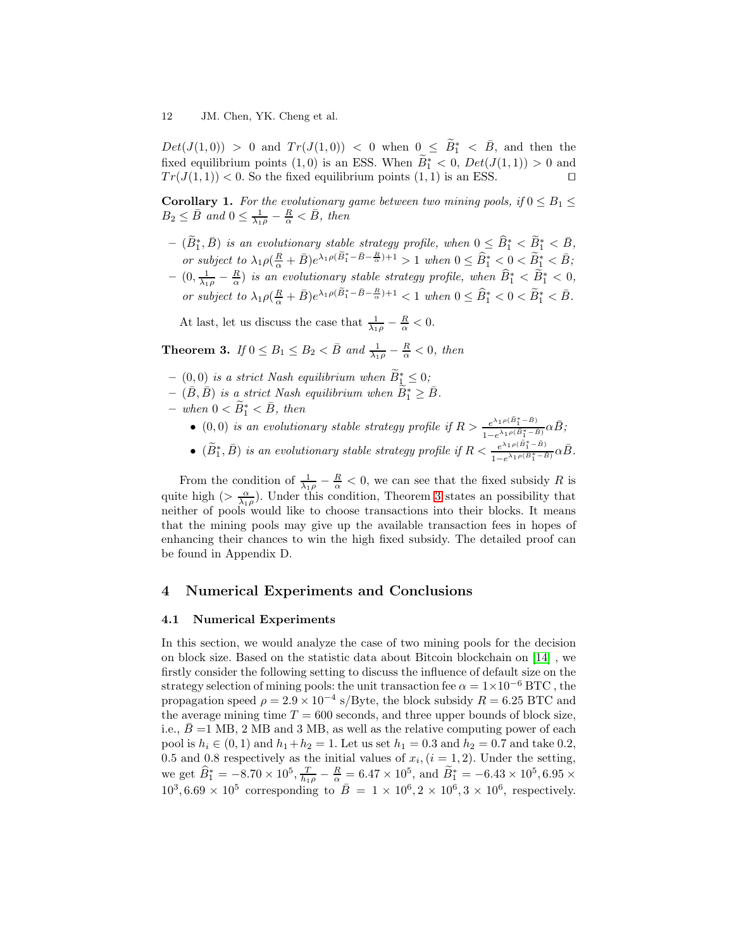$Det(J(1,0)) > 0$  and  $Tr(J(1,0)) < 0$  when  $0 \leq \tilde{B}_{1}^{*} < \bar{B}$ , and then the fixed equilibrium points  $(1,0)$  is an ESS. When  $\widetilde{B}_1^* < 0$ ,  $Det(J(1,1)) > 0$  and  $Tr(J(1, 1)) < 0$ . So the fixed equilibrium points  $(1, 1)$  is an ESS. □

**Corollary 1.** For the evolutionary game between two mining pools, if  $0 \leq B_1 \leq$  $B_2 \leq \bar{B}$  and  $0 \leq \frac{1}{\lambda_1 \rho} - \frac{R}{\alpha} < \bar{B}$ , then

- $(\widetilde{B}_{1}^{*}, \bar{B})$  is an evolutionary stable strategy profile, when  $0 \leq \widehat{B}_{1}^{*} < \widetilde{B}_{1}^{*} < \bar{B}$ , or subject to  $\lambda_1 \rho \left( \frac{R}{\alpha} + \bar{B} \right) e^{\lambda_1 \rho \left( \widetilde{B}_1^* - \bar{B} - \frac{R}{\alpha} \right) + 1} > 1$  when  $0 \leq \widehat{B}_1^* < 0 < \widetilde{B}_1^* < \bar{B}$ ;
- $(0, \frac{1}{\lambda_1 \rho} \frac{R}{\alpha})$  is an evolutionary stable strategy profile, when  $\widehat{B}_1^* < \widetilde{B}_1^* < 0$ , or subject to  $\lambda_1 \rho \left( \frac{R}{\alpha} + \bar{B} \right) e^{\lambda_1 \rho \left( \widetilde{B}_1^* - \bar{B} - \frac{R}{\alpha} \right) + 1} < 1$  when  $0 \leq \widehat{B}_1^* < 0 < \widetilde{B}_1^* < \bar{B}$ .

<span id="page-11-0"></span>At last, let us discuss the case that  $\frac{1}{\lambda_1 \rho} - \frac{R}{\alpha} < 0$ .

**Theorem 3.** If  $0 \leq B_1 \leq B_2 < \overline{B}$  and  $\frac{1}{\lambda_1 \rho} - \frac{R}{\alpha} < 0$ , then

- $-$  (0,0) is a strict Nash equilibrium when  $\widetilde{B}_{\perp}^* \leq 0$ ;
- $(\bar{B}, \bar{B})$  is a strict Nash equilibrium when  $\widetilde{B}_{1}^{*} \geq \bar{B}$ .
- $when 0 < \widetilde{B}_1^* < \bar{B}, then$ 
	- (0,0) is an evolutionary stable strategy profile if  $R > \frac{e^{\lambda_1 \rho(\tilde{B}_1^* \tilde{B})}}{\lambda_1 \rho(\tilde{B}_1^* \tilde{B})}$  $\frac{e^{\lambda_1 \rho (B_1^* - B)}}{1 - e^{\lambda_1 \rho (\tilde{B}_1^* - \bar{B})}} \alpha \bar{B}$ ;
	- $(\widetilde{B}_{1}^{*}, \overline{B})$  is an evolutionary stable strategy profile if  $R < \frac{e^{\lambda_1 \rho(\widetilde{B}_{1}^{*} \overline{B})}}{1 e^{\lambda_1 \rho(\widetilde{B}_{1}^{*} \overline{B})}}$  $\frac{e^{\lambda_1\rho(B_1^* - B)}}{1 - e^{\lambda_1\rho(\widetilde{B}_1^* - \widetilde{B})}} \alpha \bar{B}.$

From the condition of  $\frac{1}{\lambda_1 \rho} - \frac{R}{\alpha} < 0$ , we can see that the fixed subsidy R is quite high ( $>\frac{\alpha}{\lambda_1\rho}$ ). Under this condition, Theorem [3](#page-11-0) states an possibility that neither of pools would like to choose transactions into their blocks. It means that the mining pools may give up the available transaction fees in hopes of enhancing their chances to win the high fixed subsidy. The detailed proof can be found in Appendix D.

## 4 Numerical Experiments and Conclusions

## 4.1 Numerical Experiments

In this section, we would analyze the case of two mining pools for the decision on block size. Based on the statistic data about Bitcoin blockchain on [\[14\]](#page-14-9) , we firstly consider the following setting to discuss the influence of default size on the strategy selection of mining pools: the unit transaction fee  $\alpha = 1 \times 10^{-6}$  BTC, the propagation speed  $\rho = 2.9 \times 10^{-4}$  s/Byte, the block subsidy  $R = 6.25$  BTC and the average mining time  $T = 600$  seconds, and three upper bounds of block size, i.e.,  $\overline{B}$  =1 MB, 2 MB and 3 MB, as well as the relative computing power of each pool is  $h_i \in (0, 1)$  and  $h_1 + h_2 = 1$ . Let us set  $h_1 = 0.3$  and  $h_2 = 0.7$  and take 0.2, 0.5 and 0.8 respectively as the initial values of  $x_i$ ,  $(i = 1, 2)$ . Under the setting, we get  $\hat{B}_1^* = -8.70 \times 10^5$ ,  $\frac{T}{h_1 \rho} - \frac{R}{\alpha} = 6.47 \times 10^5$ , and  $\tilde{B}_1^* = -6.43 \times 10^5$ , 6.95 ×  $10^3, 6.69 \times 10^5$  corresponding to  $\overline{B} = 1 \times 10^6, 2 \times 10^6, 3 \times 10^6$ , respectively.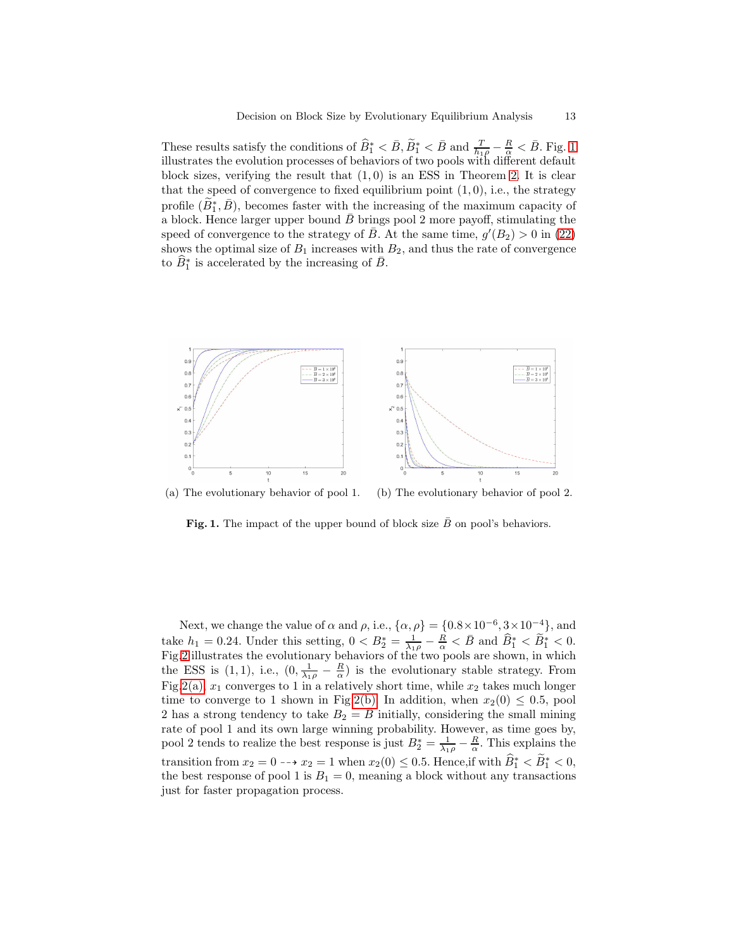These results satisfy the conditions of  $\widehat{B}_1^* < \overline{B}$ ,  $\widetilde{B}_1^* < \overline{B}$  and  $\frac{T}{h_1 \rho} - \frac{R}{\alpha} < \overline{B}$ . Fig. [1](#page-12-0) illustrates the evolution processes of behaviors of two pools with different default block sizes, verifying the result that  $(1,0)$  is an ESS in Theorem [2.](#page-9-1) It is clear that the speed of convergence to fixed equilibrium point  $(1, 0)$ , i.e., the strategy profile  $(\widetilde{B}_{1}^{*}, \bar{B})$ , becomes faster with the increasing of the maximum capacity of a block. Hence larger upper bound  $\bar{B}$  brings pool 2 more payoff, stimulating the speed of convergence to the strategy of  $\overline{B}$ . At the same time,  $g'(B_2) > 0$  in [\(22\)](#page-15-0) shows the optimal size of  $B_1$  increases with  $B_2$ , and thus the rate of convergence to  $\widehat{B}_1^*$  is accelerated by the increasing of  $\overline{B}$ .



(a) The evolutionary behavior of pool 1. (b) The evolutionary behavior of pool 2.

<span id="page-12-0"></span>Fig. 1. The impact of the upper bound of block size  $B$  on pool's behaviors.

Next, we change the value of  $\alpha$  and  $\rho$ , i.e.,  $\{\alpha, \rho\} = \{0.8 \times 10^{-6}, 3 \times 10^{-4}\},\$ and take  $h_1 = 0.24$ . Under this setting,  $0 < B_2^* = \frac{1}{\lambda_1 \rho} - \frac{R}{\alpha} < \bar{B}$  and  $\widehat{B}_1^* < \widetilde{B}_1^* < 0$ . Fig[.2](#page-13-5) illustrates the evolutionary behaviors of the two pools are shown, in which the ESS is (1, 1), i.e.,  $(0, \frac{1}{\lambda_1 \rho} - \frac{R}{\alpha})$  is the evolutionary stable strategy. From Fig[.2\(a\),](#page-13-6)  $x_1$  converges to 1 in a relatively short time, while  $x_2$  takes much longer time to converge to 1 shown in Fig[.2\(b\).](#page-13-7) In addition, when  $x_2(0) \leq 0.5$ , pool 2 has a strong tendency to take  $B_2 = B$  initially, considering the small mining rate of pool 1 and its own large winning probability. However, as time goes by, pool 2 tends to realize the best response is just  $B_2^* = \frac{1}{\lambda_1 \rho} - \frac{R}{\alpha}$ . This explains the transition from  $x_2 = 0 \longrightarrow x_2 = 1$  when  $x_2(0) \le 0.5$ . Hence, if with  $\widehat{B}_1^* < \widetilde{B}_1^* < 0$ , the best response of pool 1 is  $B_1 = 0$ , meaning a block without any transactions just for faster propagation process.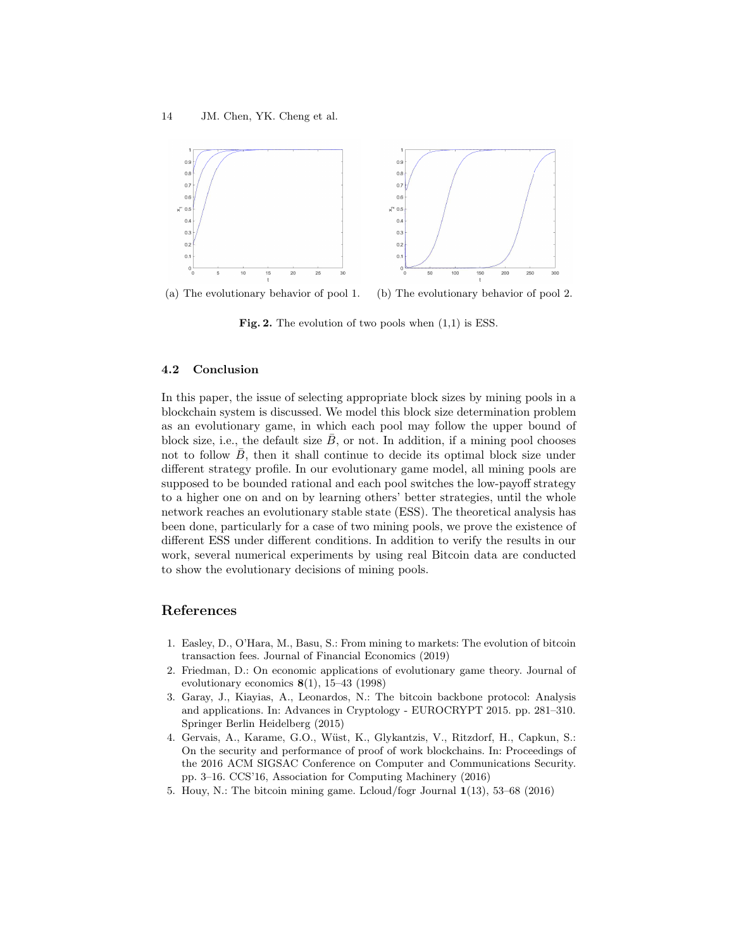<span id="page-13-6"></span>

(a) The evolutionary behavior of pool 1. (b) The evolutionary behavior of pool 2.

<span id="page-13-7"></span><span id="page-13-5"></span>Fig. 2. The evolution of two pools when  $(1,1)$  is ESS.

## 4.2 Conclusion

In this paper, the issue of selecting appropriate block sizes by mining pools in a blockchain system is discussed. We model this block size determination problem as an evolutionary game, in which each pool may follow the upper bound of block size, i.e., the default size  $\bar{B}$ , or not. In addition, if a mining pool chooses not to follow  $B$ , then it shall continue to decide its optimal block size under different strategy profile. In our evolutionary game model, all mining pools are supposed to be bounded rational and each pool switches the low-payoff strategy to a higher one on and on by learning others' better strategies, until the whole network reaches an evolutionary stable state (ESS). The theoretical analysis has been done, particularly for a case of two mining pools, we prove the existence of different ESS under different conditions. In addition to verify the results in our work, several numerical experiments by using real Bitcoin data are conducted to show the evolutionary decisions of mining pools.

## References

- <span id="page-13-1"></span>1. Easley, D., O'Hara, M., Basu, S.: From mining to markets: The evolution of bitcoin transaction fees. Journal of Financial Economics (2019)
- <span id="page-13-4"></span>2. Friedman, D.: On economic applications of evolutionary game theory. Journal of evolutionary economics 8(1), 15–43 (1998)
- <span id="page-13-2"></span>3. Garay, J., Kiayias, A., Leonardos, N.: The bitcoin backbone protocol: Analysis and applications. In: Advances in Cryptology - EUROCRYPT 2015. pp. 281–310. Springer Berlin Heidelberg (2015)
- <span id="page-13-3"></span>4. Gervais, A., Karame, G.O., Wüst, K., Glykantzis, V., Ritzdorf, H., Capkun, S.: On the security and performance of proof of work blockchains. In: Proceedings of the 2016 ACM SIGSAC Conference on Computer and Communications Security. pp. 3–16. CCS'16, Association for Computing Machinery (2016)
- <span id="page-13-0"></span>5. Houy, N.: The bitcoin mining game. Lcloud/fogr Journal 1(13), 53–68 (2016)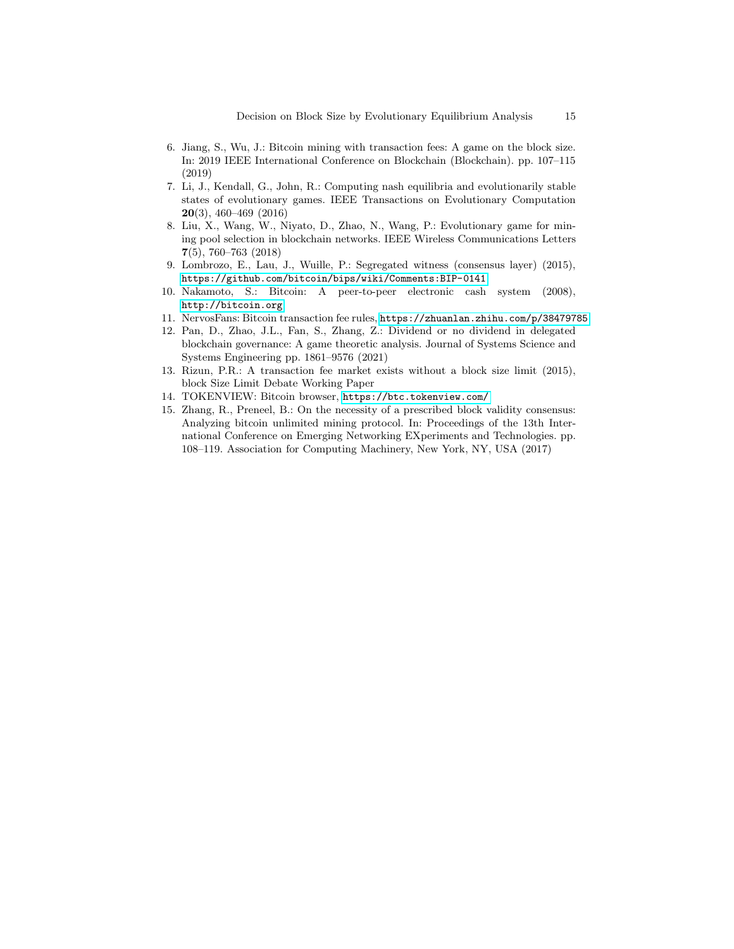- <span id="page-14-6"></span>6. Jiang, S., Wu, J.: Bitcoin mining with transaction fees: A game on the block size. In: 2019 IEEE International Conference on Blockchain (Blockchain). pp. 107–115 (2019)
- <span id="page-14-8"></span>7. Li, J., Kendall, G., John, R.: Computing nash equilibria and evolutionarily stable states of evolutionary games. IEEE Transactions on Evolutionary Computation 20(3), 460–469 (2016)
- <span id="page-14-4"></span>8. Liu, X., Wang, W., Niyato, D., Zhao, N., Wang, P.: Evolutionary game for mining pool selection in blockchain networks. IEEE Wireless Communications Letters 7(5), 760–763 (2018)
- <span id="page-14-1"></span>9. Lombrozo, E., Lau, J., Wuille, P.: Segregated witness (consensus layer) (2015), <https://github.com/bitcoin/bips/wiki/Comments:BIP-0141>
- <span id="page-14-0"></span>10. Nakamoto, S.: Bitcoin: A peer-to-peer electronic cash system (2008), <http://bitcoin.org>
- <span id="page-14-7"></span><span id="page-14-5"></span>11. NervosFans: Bitcoin transaction fee rules, <https://zhuanlan.zhihu.com/p/38479785>
- 12. Pan, D., Zhao, J.L., Fan, S., Zhang, Z.: Dividend or no dividend in delegated blockchain governance: A game theoretic analysis. Journal of Systems Science and Systems Engineering pp. 1861–9576 (2021)
- <span id="page-14-2"></span>13. Rizun, P.R.: A transaction fee market exists without a block size limit (2015), block Size Limit Debate Working Paper
- <span id="page-14-9"></span><span id="page-14-3"></span>14. TOKENVIEW: Bitcoin browser, <https://btc.tokenview.com/>
- 15. Zhang, R., Preneel, B.: On the necessity of a prescribed block validity consensus: Analyzing bitcoin unlimited mining protocol. In: Proceedings of the 13th International Conference on Emerging Networking EXperiments and Technologies. pp. 108–119. Association for Computing Machinery, New York, NY, USA (2017)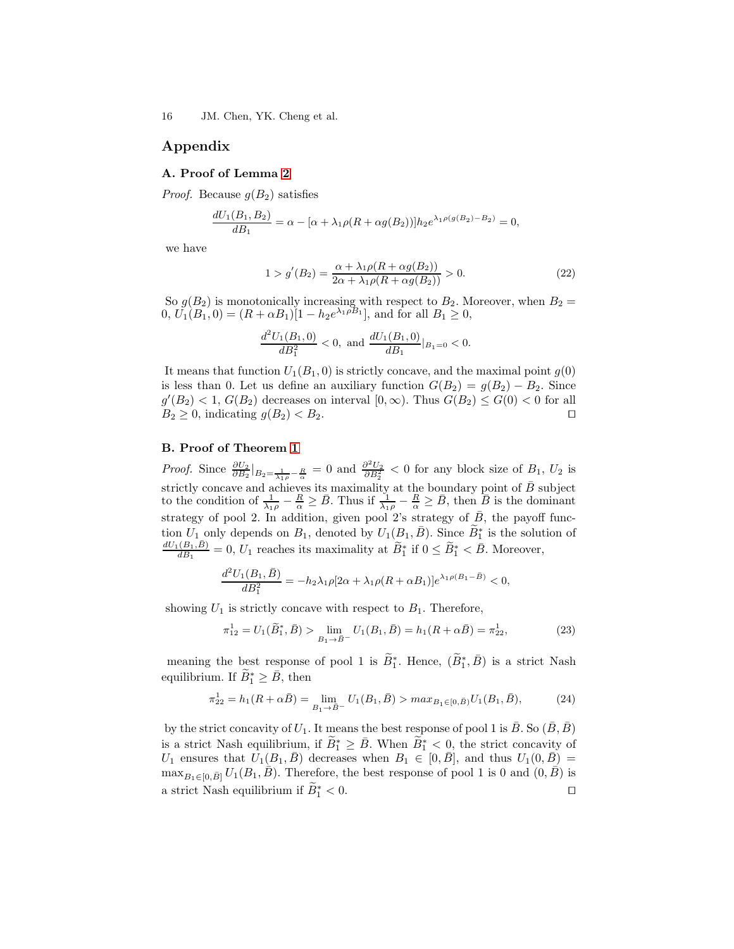## Appendix

#### A. Proof of Lemma [2](#page-8-0)

*Proof.* Because  $g(B_2)$  satisfies

$$
\frac{dU_1(B_1, B_2)}{dB_1} = \alpha - [\alpha + \lambda_1 \rho (R + \alpha g(B_2))] h_2 e^{\lambda_1 \rho(g(B_2) - B_2)} = 0,
$$

we have

<span id="page-15-0"></span>
$$
1 > g'(B_2) = \frac{\alpha + \lambda_1 \rho (R + \alpha g(B_2))}{2\alpha + \lambda_1 \rho (R + \alpha g(B_2))} > 0.
$$
 (22)

So  $g(B_2)$  is monotonically increasing with respect to  $B_2$ . Moreover, when  $B_2 =$  $0, U_1(B_1, 0) = (R + \alpha B_1)[1 - h_2 e^{\lambda_1 \rho B_1}],$  and for all  $B_1 \ge 0$ ,

$$
\frac{d^2U_1(B_1,0)}{dB_1^2} < 0, \text{ and } \frac{dU_1(B_1,0)}{dB_1}|_{B_1=0} < 0.
$$

It means that function  $U_1(B_1, 0)$  is strictly concave, and the maximal point  $g(0)$ is less than 0. Let us define an auxiliary function  $G(B_2) = g(B_2) - B_2$ . Since  $g'(B_2) < 1, G(B_2)$  decreases on interval  $[0, \infty)$ . Thus  $G(B_2) \leq G(0) < 0$  for all  $B_2 \geq 0$ , indicating  $g(B_2) < B_2$ .

## B. Proof of Theorem [1](#page-8-1)

*Proof.* Since  $\frac{\partial U_2}{\partial B_2}\big|_{B_2=\frac{1}{\lambda_1\rho}-\frac{R}{\alpha}}=0$  and  $\frac{\partial^2 U_2}{\partial B_2^2}<0$  for any block size of  $B_1, U_2$  is strictly concave and achieves its maximality at the boundary point of  $\bar{B}$  subject to the condition of  $\frac{1}{\lambda_1 \rho} - \frac{R}{\alpha} \geq \bar{B}$ . Thus if  $\frac{1}{\lambda_1 \rho} - \frac{R}{\alpha} \geq \bar{B}$ , then  $\bar{B}$  is the dominant strategy of pool 2. In addition, given pool 2's strategy of  $\overline{B}$ , the payoff function  $U_1$  only depends on  $B_1$ , denoted by  $U_1(B_1, \bar{B})$ . Since  $\widetilde{B}_1^*$  is the solution of  $dU_1(B_1,\bar{B})$  $\frac{(B_1,B)}{dB_1} = 0, U_1$  reaches its maximality at  $\widetilde{B}_1^*$  if  $0 \le \widetilde{B}_1^* < \overline{B}$ . Moreover,

$$
\frac{d^2U_1(B_1,\bar{B})}{dB_1^2} = -h_2\lambda_1\rho[2\alpha + \lambda_1\rho(R+\alpha B_1)]e^{\lambda_1\rho(B_1-\bar{B})} < 0,
$$

showing  $U_1$  is strictly concave with respect to  $B_1$ . Therefore,

$$
\pi_{12}^1 = U_1(\tilde{B}_1^*, \bar{B}) > \lim_{B_1 \to \bar{B}^-} U_1(B_1, \bar{B}) = h_1(R + \alpha \bar{B}) = \pi_{22}^1,
$$
\n(23)

meaning the best response of pool 1 is  $\widetilde{B}_1^*$ . Hence,  $(\widetilde{B}_1^*, \overline{B})$  is a strict Nash equilibrium. If  $\widetilde{B}_1^* \geq \bar{B}$ , then

$$
\pi_{22}^1 = h_1(R + \alpha \bar{B}) = \lim_{B_1 \to \bar{B}^-} U_1(B_1, \bar{B}) > \max_{B_1 \in [0, \bar{B})} U_1(B_1, \bar{B}),\tag{24}
$$

by the strict concavity of  $U_1$ . It means the best response of pool 1 is  $\overline{B}$ . So  $(\overline{B}, \overline{B})$ is a strict Nash equilibrium, if  $\widetilde{B}_1^* \geq \bar{B}$ . When  $\widetilde{B}_1^* < 0$ , the strict concavity of  $U_1$  ensures that  $U_1(B_1,\bar{B})$  decreases when  $B_1 \in [0,\bar{B}],$  and thus  $U_1(0,\bar{B}) =$  $\max_{B_1 \in [0,\bar{B}]} U_1(B_1,\bar{B})$ . Therefore, the best response of pool 1 is 0 and  $(0,\bar{B})$  is a strict Nash equilibrium if  $\widetilde{B}_1^* < 0$ .  $\frac{1}{1}$  < 0.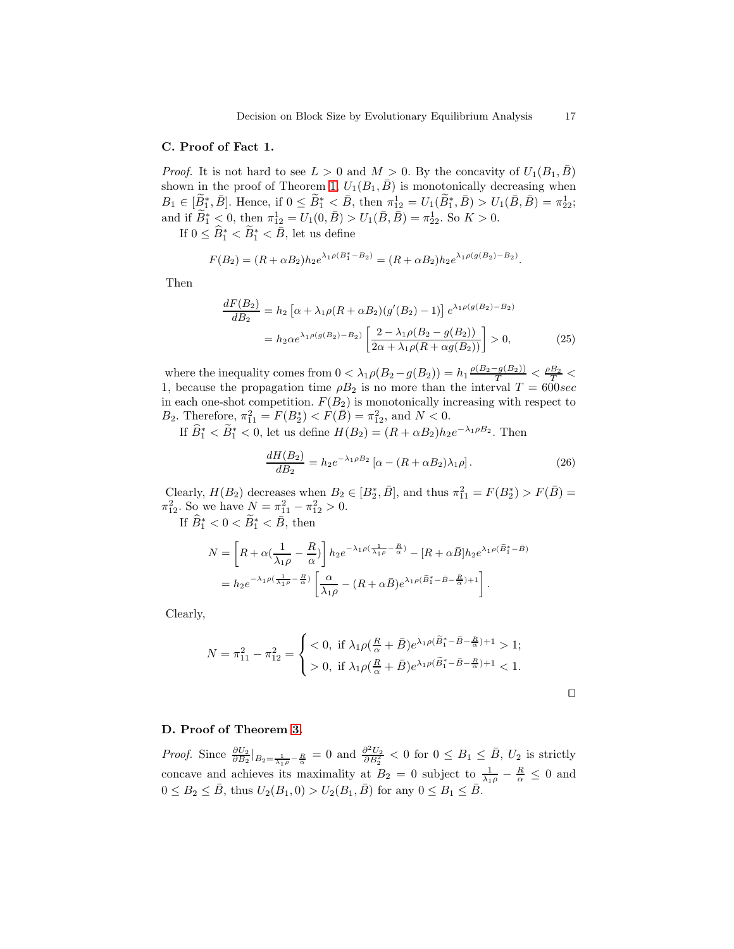## C. Proof of Fact 1.

*Proof.* It is not hard to see  $L > 0$  and  $M > 0$ . By the concavity of  $U_1(B_1, \overline{B})$ shown in the proof of Theorem [1,](#page-8-1)  $U_1(B_1, \bar{B})$  is monotonically decreasing when  $B_1 \in [\tilde{B}_1^*, \bar{B}]$ . Hence, if  $0 \le \tilde{B}_1^* < \bar{B}$ , then  $\pi_{12}^1 = U_1(\tilde{B}_1^*, \bar{B}) > U_1(\bar{B}, \bar{B}) = \pi_{22}^1$ ; and if  $\widetilde{B}_1^* < 0$ , then  $\pi_{12}^1 = U_1(0, \bar{B}) > U_1(\bar{B}, \bar{B}) = \pi_{22}^1$ . So  $K > 0$ .

If  $0 \leq \widehat{B}_1^* < \widetilde{B}_1^* < \bar{B}$ , let us define

$$
F(B_2) = (R + \alpha B_2)h_2 e^{\lambda_1 \rho (B_1^* - B_2)} = (R + \alpha B_2)h_2 e^{\lambda_1 \rho (g(B_2) - B_2)}.
$$

Then

$$
\frac{dF(B_2)}{dB_2} = h_2 \left[ \alpha + \lambda_1 \rho (R + \alpha B_2) (g'(B_2) - 1) \right] e^{\lambda_1 \rho(g(B_2) - B_2)} \n= h_2 \alpha e^{\lambda_1 \rho(g(B_2) - B_2)} \left[ \frac{2 - \lambda_1 \rho (B_2 - g(B_2))}{2\alpha + \lambda_1 \rho (R + \alpha g(B_2))} \right] > 0,
$$
\n(25)

where the inequality comes from  $0 < \lambda_1 \rho(B_2 - g(B_2)) = h_1 \frac{\rho(B_2 - g(B_2))}{T} < \frac{\rho B_2}{T} <$ 1, because the propagation time  $\rho B_2$  is no more than the interval  $T = 600 sec$ in each one-shot competition.  $F(B_2)$  is monotonically increasing with respect to B<sub>2</sub>. Therefore,  $\pi_{11}^2 = F(B_2^*) < F(\bar{B}) = \pi_{12}^2$ , and  $N < 0$ .

If  $\widehat{B}_1^* < \widetilde{B}_1^* < 0$ , let us define  $H(B_2) = (R + \alpha B_2)h_2e^{-\lambda_1\rho B_2}$ . Then

$$
\frac{dH(B_2)}{dB_2} = h_2 e^{-\lambda_1 \rho B_2} \left[ \alpha - (R + \alpha B_2) \lambda_1 \rho \right]. \tag{26}
$$

Clearly,  $H(B_2)$  decreases when  $B_2 \in [B_2^*, \overline{B}]$ , and thus  $\pi_{11}^2 = F(B_2^*) > F(\overline{B}) =$  $\pi_{12}^2$ . So we have  $N = \pi_{11}^2 - \pi_{12}^2 > 0$ .

If  $\widehat{B}_1^* < 0 < \widetilde{B}_1^* < \overline{B}$ , then

$$
N = \left[R + \alpha \left(\frac{1}{\lambda_1 \rho} - \frac{R}{\alpha}\right)\right] h_2 e^{-\lambda_1 \rho \left(\frac{1}{\lambda_1 \rho} - \frac{R}{\alpha}\right)} - [R + \alpha \bar{B}] h_2 e^{\lambda_1 \rho \left(\tilde{B}_1^* - \bar{B}\right)}
$$
  
=  $h_2 e^{-\lambda_1 \rho \left(\frac{1}{\lambda_1 \rho} - \frac{R}{\alpha}\right)} \left[\frac{\alpha}{\lambda_1 \rho} - (R + \alpha \bar{B}) e^{\lambda_1 \rho \left(\tilde{B}_1^* - \bar{B} - \frac{R}{\alpha}\right) + 1}\right].$ 

Clearly,

$$
N = \pi_{11}^2 - \pi_{12}^2 = \begin{cases} < 0, & \text{if } \lambda_1 \rho(\frac{R}{\alpha} + \bar{B})e^{\lambda_1 \rho(\tilde{B}_1^* - \bar{B} - \frac{R}{\alpha}) + 1} > 1; \\ > 0, & \text{if } \lambda_1 \rho(\frac{R}{\alpha} + \bar{B})e^{\lambda_1 \rho(\tilde{B}_1^* - \bar{B} - \frac{R}{\alpha}) + 1} < 1. \end{cases}
$$

## D. Proof of Theorem [3.](#page-11-0)

*Proof.* Since  $\frac{\partial U_2}{\partial B_2}\big|_{B_2=\frac{1}{\lambda_1\rho}-\frac{R}{\alpha}}=0$  and  $\frac{\partial^2 U_2}{\partial B_2^2}<0$  for  $0\leq B_1\leq \bar{B}$ ,  $U_2$  is strictly concave and achieves its maximality at  $B_2 = 0$  subject to  $\frac{1}{\lambda_1 \rho} - \frac{R}{\alpha} \leq 0$  and  $0 \le B_2 \le \bar{B}$ , thus  $U_2(B_1, 0) > U_2(B_1, \bar{B})$  for any  $0 \le B_1 \le \bar{B}$ .

⊓⊔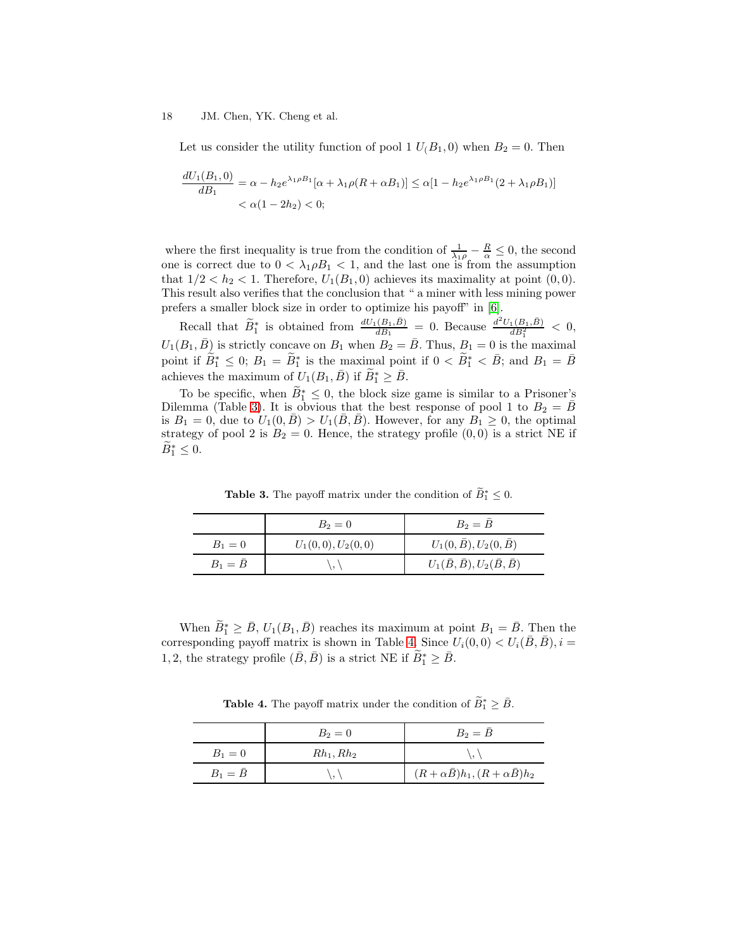Let us consider the utility function of pool 1  $U(B_1, 0)$  when  $B_2 = 0$ . Then

$$
\frac{dU_1(B_1,0)}{dB_1} = \alpha - h_2 e^{\lambda_1 \rho B_1} [\alpha + \lambda_1 \rho (R + \alpha B_1)] \le \alpha [1 - h_2 e^{\lambda_1 \rho B_1} (2 + \lambda_1 \rho B_1)]
$$
  
<  $\alpha (1 - 2h_2) < 0;$ 

where the first inequality is true from the condition of  $\frac{1}{\lambda_1 \rho} - \frac{R}{\alpha} \leq 0$ , the second one is correct due to  $0 < \lambda_1 \rho B_1 < 1$ , and the last one is from the assumption that  $1/2 < h_2 < 1$ . Therefore,  $U_1(B_1, 0)$  achieves its maximality at point  $(0, 0)$ . This result also verifies that the conclusion that " a miner with less mining power prefers a smaller block size in order to optimize his payoff" in [\[6\]](#page-14-6).

Recall that  $\widetilde{B}_1^*$  is obtained from  $\frac{dU_1(B_1,\bar{B})}{dB_1} = 0$ . Because  $\frac{d^2U_1(B_1,\bar{B})}{dB_1^2} < 0$ ,  $U_1(B_1, \bar{B})$  is strictly concave on  $B_1$  when  $B_2 = \bar{B}$ . Thus,  $B_1 = 0$  is the maximal point if  $\tilde{B}_1^* \leq 0$ ;  $B_1 = \tilde{B}_1^*$  is the maximal point if  $0 < \tilde{B}_1^* < \bar{B}$ ; and  $B_1 = \bar{B}$ achieves the maximum of  $U_1(B_1, \bar{B})$  if  $\widetilde{B}_1^* \geq \bar{B}$ .

To be specific, when  $\widetilde{B}_1^* \leq 0$ , the block size game is similar to a Prisoner's Dilemma (Table [3\)](#page-17-0). It is obvious that the best response of pool 1 to  $B_2 = \overline{B}$ is  $B_1 = 0$ , due to  $U_1(0, \overline{B}) > U_1(\overline{B}, \overline{B})$ . However, for any  $B_1 \geq 0$ , the optimal strategy of pool 2 is  $B_2 = 0$ . Hence, the strategy profile  $(0,0)$  is a strict NE if  $\widetilde{B}_1^* \leq 0.$ 

<span id="page-17-0"></span>**Table 3.** The payoff matrix under the condition of  $\widetilde{B}_1^* \leq 0$ .

|                 | $B_2 = 0$            | $B_2=B$                                        |
|-----------------|----------------------|------------------------------------------------|
| $B_1 = 0$       | $U_1(0,0), U_2(0,0)$ | $U_1(0,\bar{B}), U_2(0,\bar{B})$               |
| $B_1 = \bar{B}$ |                      | $U_1(\bar{B}, \bar{B}), U_2(\bar{B}, \bar{B})$ |

When  $\widetilde{B}_1^* \geq \bar{B}$ ,  $U_1(B_1, \bar{B})$  reaches its maximum at point  $B_1 = \bar{B}$ . Then the corresponding payoff matrix is shown in Table [4.](#page-17-1) Since  $U_i(0,0) < U_i(\bar{B}, \bar{B}), i =$ 1, 2, the strategy profile  $(\bar{B}, \bar{B})$  is a strict NE if  $\widetilde{B}_1^* \geq \bar{B}$ .

<span id="page-17-1"></span>**Table 4.** The payoff matrix under the condition of  $\widetilde{B}_1^* \geq \overline{B}$ .

|                 | $B_2 = 0$    | $B_2=B$                                        |
|-----------------|--------------|------------------------------------------------|
| $B_1 = 0$       | $Rh_1, Rh_2$ |                                                |
| $B_1 = \bar{B}$ |              | $(R+\alpha \bar{B})h_1, (R+\alpha \bar{B})h_2$ |